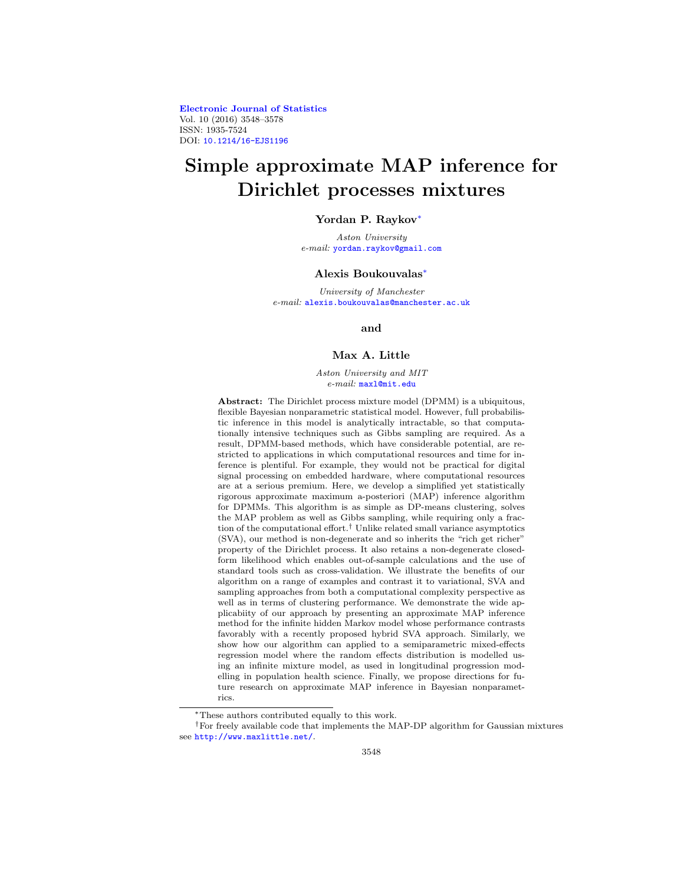**[Electronic Journal of Statistics](http://projecteuclid.org/ejs)** Vol. 10 (2016) 3548–3578 ISSN: 1935-7524 DOI: [10.1214/16-EJS1196](http://dx.doi.org/10.1214/16-EJS1196)

# **Simple approximate MAP inference for Dirichlet processes mixtures**

#### **Yordan P. Raykov**[∗](#page-0-0)

Aston University e-mail: [yordan.raykov@gmail.com](mailto:yordan.raykov@gmail.com)

#### **Alexis Boukouvalas**[∗](#page-0-0)

University of Manchester e-mail: [alexis.boukouvalas@manchester.ac.uk](mailto:alexis.boukouvalas@manchester.ac.uk)

**and**

## **Max A. Little**

Aston University and MIT e-mail: [maxl@mit.edu](mailto:maxl@mit.edu)

**Abstract:** The Dirichlet process mixture model (DPMM) is a ubiquitous, flexible Bayesian nonparametric statistical model. However, full probabilistic inference in this model is analytically intractable, so that computationally intensive techniques such as Gibbs sampling are required. As a result, DPMM-based methods, which have considerable potential, are restricted to applications in which computational resources and time for inference is plentiful. For example, they would not be practical for digital signal processing on embedded hardware, where computational resources are at a serious premium. Here, we develop a simplified yet statistically rigorous approximate maximum a-posteriori (MAP) inference algorithm for DPMMs. This algorithm is as simple as DP-means clustering, solves the MAP problem as well as Gibbs sampling, while requiring only a fraction of the computational effort.† Unlike related small variance asymptotics (SVA), our method is non-degenerate and so inherits the "rich get richer" property of the Dirichlet process. It also retains a non-degenerate closedform likelihood which enables out-of-sample calculations and the use of standard tools such as cross-validation. We illustrate the benefits of our algorithm on a range of examples and contrast it to variational, SVA and sampling approaches from both a computational complexity perspective as well as in terms of clustering performance. We demonstrate the wide applicabiity of our approach by presenting an approximate MAP inference method for the infinite hidden Markov model whose performance contrasts favorably with a recently proposed hybrid SVA approach. Similarly, we show how our algorithm can applied to a semiparametric mixed-effects regression model where the random effects distribution is modelled using an infinite mixture model, as used in longitudinal progression modelling in population health science. Finally, we propose directions for future research on approximate MAP inference in Bayesian nonparametrics.

<span id="page-0-0"></span><sup>∗</sup>These authors contributed equally to this work.

<sup>†</sup>For freely available code that implements the MAP-DP algorithm for Gaussian mixtures see <http://www.maxlittle.net/>.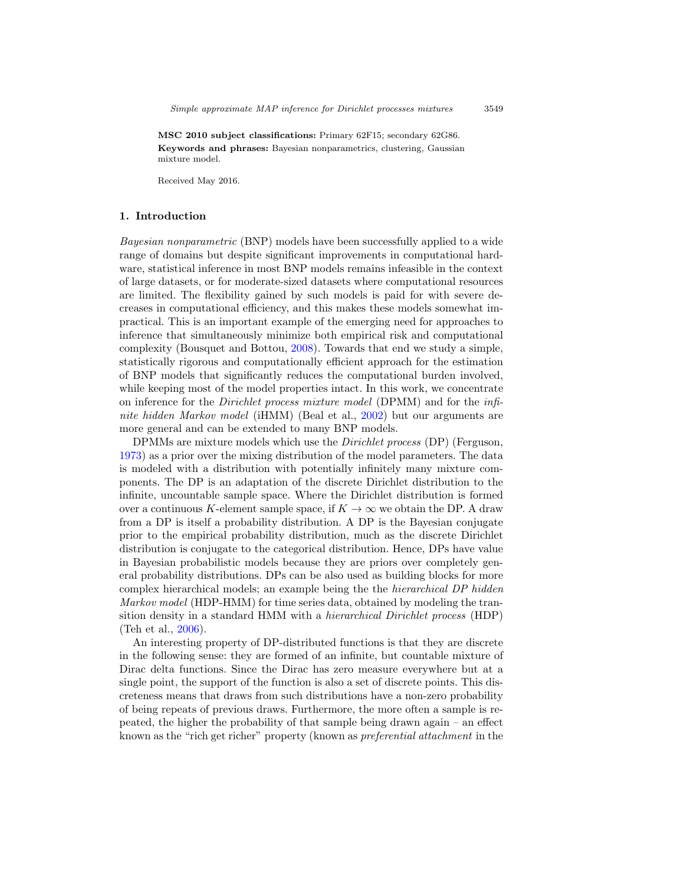**MSC 2010 subject classifications:** Primary 62F15; secondary 62G86. **Keywords and phrases:** Bayesian nonparametrics, clustering, Gaussian mixture model.

Received May 2016.

# <span id="page-1-0"></span>**1. Introduction**

Bayesian nonparametric (BNP) models have been successfully applied to a wide range of domains but despite significant improvements in computational hardware, statistical inference in most BNP models remains infeasible in the context of large datasets, or for moderate-sized datasets where computational resources are limited. The flexibility gained by such models is paid for with severe decreases in computational efficiency, and this makes these models somewhat impractical. This is an important example of the emerging need for approaches to inference that simultaneously minimize both empirical risk and computational complexity (Bousquet and Bottou, [2008\)](#page-28-0). Towards that end we study a simple, statistically rigorous and computationally efficient approach for the estimation of BNP models that significantly reduces the computational burden involved, while keeping most of the model properties intact. In this work, we concentrate on inference for the Dirichlet process mixture model (DPMM) and for the infinite hidden Markov model (iHMM) (Beal et al., [2002](#page-28-1)) but our arguments are more general and can be extended to many BNP models.

DPMMs are mixture models which use the Dirichlet process (DP) (Ferguson, [1973\)](#page-28-2) as a prior over the mixing distribution of the model parameters. The data is modeled with a distribution with potentially infinitely many mixture components. The DP is an adaptation of the discrete Dirichlet distribution to the infinite, uncountable sample space. Where the Dirichlet distribution is formed over a continuous K-element sample space, if  $K \to \infty$  we obtain the DP. A draw from a DP is itself a probability distribution. A DP is the Bayesian conjugate prior to the empirical probability distribution, much as the discrete Dirichlet distribution is conjugate to the categorical distribution. Hence, DPs have value in Bayesian probabilistic models because they are priors over completely general probability distributions. DPs can be also used as building blocks for more complex hierarchical models; an example being the the hierarchical DP hidden Markov model (HDP-HMM) for time series data, obtained by modeling the transition density in a standard HMM with a hierarchical Dirichlet process (HDP) (Teh et al., [2006\)](#page-29-0).

An interesting property of DP-distributed functions is that they are discrete in the following sense: they are formed of an infinite, but countable mixture of Dirac delta functions. Since the Dirac has zero measure everywhere but at a single point, the support of the function is also a set of discrete points. This discreteness means that draws from such distributions have a non-zero probability of being repeats of previous draws. Furthermore, the more often a sample is repeated, the higher the probability of that sample being drawn again – an effect known as the "rich get richer" property (known as preferential attachment in the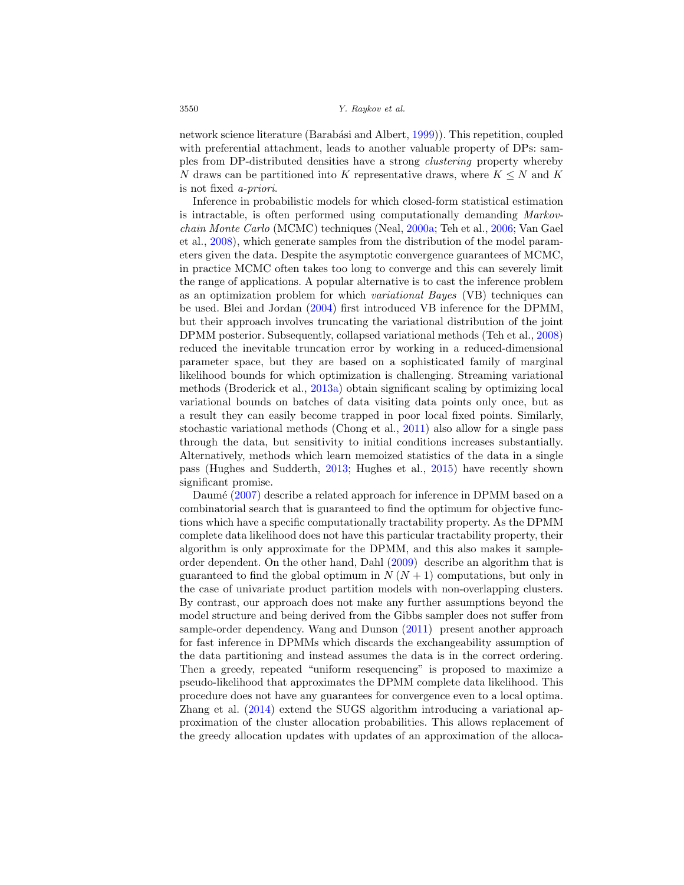network science literature (Barabási and Albert, [1999\)](#page-27-0)). This repetition, coupled with preferential attachment, leads to another valuable property of DPs: samples from DP-distributed densities have a strong clustering property whereby N draws can be partitioned into K representative draws, where  $K \leq N$  and K is not fixed a-priori.

Inference in probabilistic models for which closed-form statistical estimation is intractable, is often performed using computationally demanding Markovchain Monte Carlo (MCMC) techniques (Neal, [2000a;](#page-29-1) Teh et al., [2006;](#page-29-0) Van Gael et al., [2008](#page-30-0)), which generate samples from the distribution of the model parameters given the data. Despite the asymptotic convergence guarantees of MCMC, in practice MCMC often takes too long to converge and this can severely limit the range of applications. A popular alternative is to cast the inference problem as an optimization problem for which variational Bayes (VB) techniques can be used. Blei and Jordan [\(2004\)](#page-28-3) first introduced VB inference for the DPMM, but their approach involves truncating the variational distribution of the joint DPMM posterior. Subsequently, collapsed variational methods (Teh et al., [2008\)](#page-29-2) reduced the inevitable truncation error by working in a reduced-dimensional parameter space, but they are based on a sophisticated family of marginal likelihood bounds for which optimization is challenging. Streaming variational methods (Broderick et al., [2013a](#page-28-4)) obtain significant scaling by optimizing local variational bounds on batches of data visiting data points only once, but as a result they can easily become trapped in poor local fixed points. Similarly, stochastic variational methods (Chong et al., [2011\)](#page-28-5) also allow for a single pass through the data, but sensitivity to initial conditions increases substantially. Alternatively, methods which learn memoized statistics of the data in a single pass (Hughes and Sudderth, [2013;](#page-28-6) Hughes et al., [2015\)](#page-28-7) have recently shown significant promise.

Daumé [\(2007\)](#page-28-8) describe a related approach for inference in DPMM based on a combinatorial search that is guaranteed to find the optimum for objective functions which have a specific computationally tractability property. As the DPMM complete data likelihood does not have this particular tractability property, their algorithm is only approximate for the DPMM, and this also makes it sampleorder dependent. On the other hand, Dahl [\(2009](#page-28-9)) describe an algorithm that is guaranteed to find the global optimum in  $N(N+1)$  computations, but only in the case of univariate product partition models with non-overlapping clusters. By contrast, our approach does not make any further assumptions beyond the model structure and being derived from the Gibbs sampler does not suffer from sample-order dependency. Wang and Dunson  $(2011)$  $(2011)$  present another approach for fast inference in DPMMs which discards the exchangeability assumption of the data partitioning and instead assumes the data is in the correct ordering. Then a greedy, repeated "uniform resequencing" is proposed to maximize a pseudo-likelihood that approximates the DPMM complete data likelihood. This procedure does not have any guarantees for convergence even to a local optima. Zhang et al. [\(2014](#page-30-2)) extend the SUGS algorithm introducing a variational approximation of the cluster allocation probabilities. This allows replacement of the greedy allocation updates with updates of an approximation of the alloca-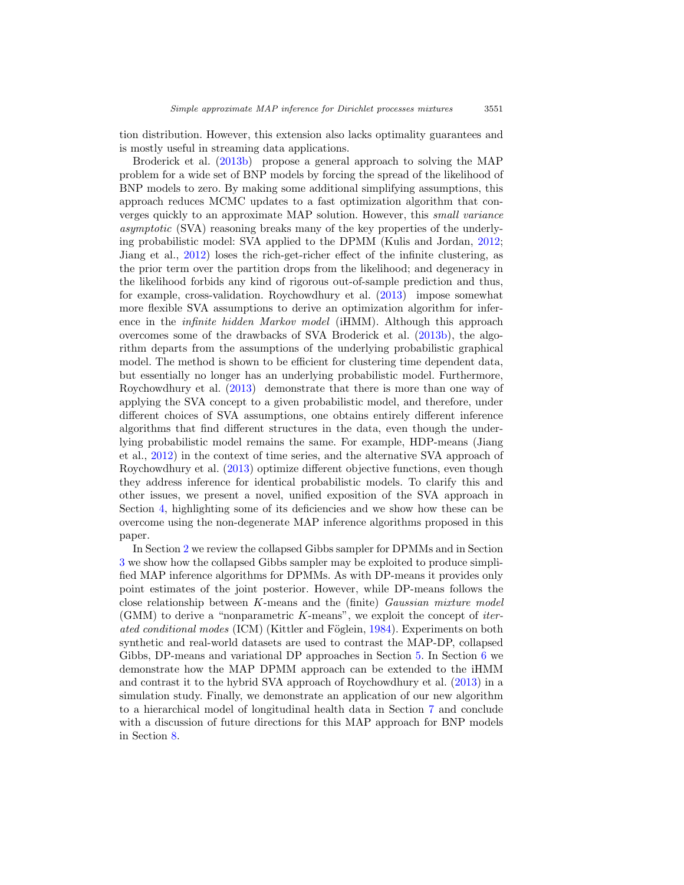tion distribution. However, this extension also lacks optimality guarantees and is mostly useful in streaming data applications.

Broderick et al. [\(2013b](#page-28-10)) propose a general approach to solving the MAP problem for a wide set of BNP models by forcing the spread of the likelihood of BNP models to zero. By making some additional simplifying assumptions, this approach reduces MCMC updates to a fast optimization algorithm that converges quickly to an approximate MAP solution. However, this small variance asymptotic (SVA) reasoning breaks many of the key properties of the underlying probabilistic model: SVA applied to the DPMM (Kulis and Jordan, [2012;](#page-29-3) Jiang et al., [2012\)](#page-28-11) loses the rich-get-richer effect of the infinite clustering, as the prior term over the partition drops from the likelihood; and degeneracy in the likelihood forbids any kind of rigorous out-of-sample prediction and thus, for example, cross-validation. Roychowdhury et al. [\(2013](#page-29-4)) impose somewhat more flexible SVA assumptions to derive an optimization algorithm for inference in the infinite hidden Markov model (iHMM). Although this approach overcomes some of the drawbacks of SVA Broderick et al. [\(2013b](#page-28-10)), the algorithm departs from the assumptions of the underlying probabilistic graphical model. The method is shown to be efficient for clustering time dependent data, but essentially no longer has an underlying probabilistic model. Furthermore, Roychowdhury et al. [\(2013\)](#page-29-4) demonstrate that there is more than one way of applying the SVA concept to a given probabilistic model, and therefore, under different choices of SVA assumptions, one obtains entirely different inference algorithms that find different structures in the data, even though the underlying probabilistic model remains the same. For example, HDP-means (Jiang et al., [2012](#page-28-11)) in the context of time series, and the alternative SVA approach of Roychowdhury et al. [\(2013](#page-29-4)) optimize different objective functions, even though they address inference for identical probabilistic models. To clarify this and other issues, we present a novel, unified exposition of the SVA approach in Section [4,](#page-8-0) highlighting some of its deficiencies and we show how these can be overcome using the non-degenerate MAP inference algorithms proposed in this paper.

In Section [2](#page-4-0) we review the collapsed Gibbs sampler for DPMMs and in Section [3](#page-5-0) we show how the collapsed Gibbs sampler may be exploited to produce simplified MAP inference algorithms for DPMMs. As with DP-means it provides only point estimates of the joint posterior. However, while DP-means follows the close relationship between K-means and the (finite) Gaussian mixture model  $(GMM)$  to derive a "nonparametric K-means", we exploit the concept of *iter-*ated conditional modes (ICM) (Kittler and Föglein, [1984](#page-29-5)). Experiments on both synthetic and real-world datasets are used to contrast the MAP-DP, collapsed Gibbs, DP-means and variational DP approaches in Section [5.](#page-12-0) In Section [6](#page-15-0) we demonstrate how the MAP DPMM approach can be extended to the iHMM and contrast it to the hybrid SVA approach of Roychowdhury et al. [\(2013](#page-29-4)) in a simulation study. Finally, we demonstrate an application of our new algorithm to a hierarchical model of longitudinal health data in Section [7](#page-20-0) and conclude with a discussion of future directions for this MAP approach for BNP models in Section [8.](#page-23-0)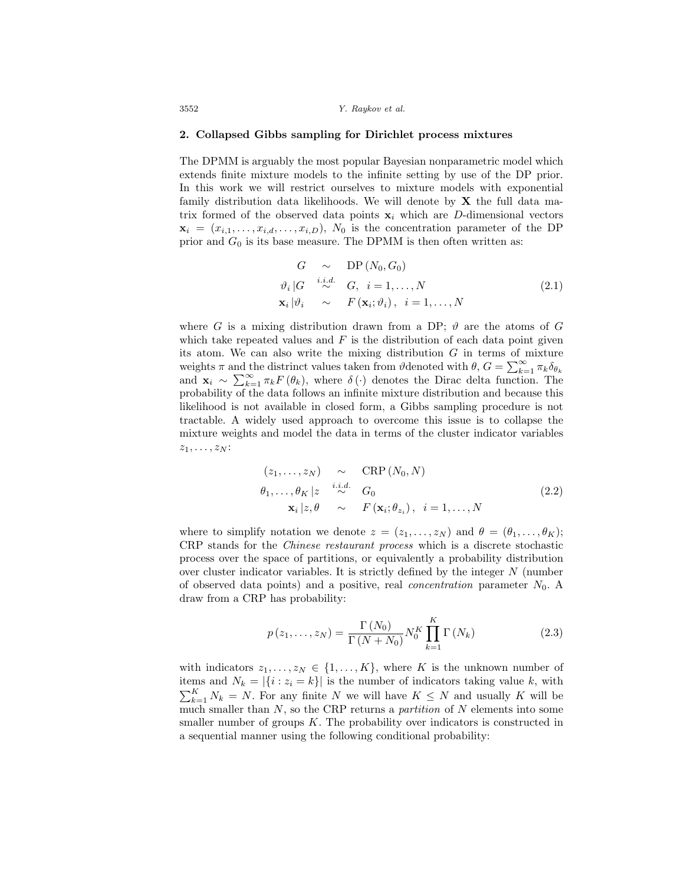#### **2. Collapsed Gibbs sampling for Dirichlet process mixtures**

The DPMM is arguably the most popular Bayesian nonparametric model which extends finite mixture models to the infinite setting by use of the DP prior. In this work we will restrict ourselves to mixture models with exponential family distribution data likelihoods. We will denote by **X** the full data matrix formed of the observed data points  $x_i$  which are D-dimensional vectors  $\mathbf{x}_i = (x_{i,1},\ldots,x_{i,d},\ldots,x_{i,D}),$  N<sub>0</sub> is the concentration parameter of the DP prior and  $G_0$  is its base measure. The DPMM is then often written as:

$$
G \sim \text{DP}(N_0, G_0)
$$
  
\n
$$
\vartheta_i | G \stackrel{i.i.d.}{\sim} G, \quad i = 1, ..., N
$$
  
\n
$$
\mathbf{x}_i | \vartheta_i \sim F(\mathbf{x}_i; \vartheta_i), \quad i = 1, ..., N
$$
\n(2.1)

where G is a mixing distribution drawn from a DP;  $\vartheta$  are the atoms of G which take repeated values and  $F$  is the distribution of each data point given its atom. We can also write the mixing distribution  $G$  in terms of mixture weights  $\pi$  and the distrinct values taken from  $\vartheta$  denoted with  $\theta$ ,  $G = \sum_{k=1}^{\infty} \pi_k \delta_{\theta_k}$ and  $\mathbf{x}_i \sim \sum_{k=1}^{\infty} \pi_k F(\theta_k)$ , where  $\delta(\cdot)$  denotes the Dirac delta function. The probability of the data follows an infinite mixture distribution and because this likelihood is not available in closed form, a Gibbs sampling procedure is not tractable. A widely used approach to overcome this issue is to collapse the mixture weights and model the data in terms of the cluster indicator variables  $z_1,\ldots,z_N$ :

$$
(z_1, \ldots, z_N) \sim \text{CRP}(N_0, N)
$$
  
\n
$$
\theta_1, \ldots, \theta_K \mid z \stackrel{i.i.d.}{\sim} G_0
$$
  
\n
$$
\mathbf{x}_i \mid z, \theta \sim F(\mathbf{x}_i; \theta_{z_i}), \quad i = 1, \ldots, N
$$
\n(2.2)

where to simplify notation we denote  $z = (z_1, \ldots, z_N)$  and  $\theta = (\theta_1, \ldots, \theta_K);$ CRP stands for the Chinese restaurant process which is a discrete stochastic process over the space of partitions, or equivalently a probability distribution over cluster indicator variables. It is strictly defined by the integer  $N$  (number of observed data points) and a positive, real *concentration* parameter  $N_0$ . A draw from a CRP has probability:

<span id="page-4-1"></span>
$$
p(z_1,...,z_N) = \frac{\Gamma(N_0)}{\Gamma(N+N_0)} N_0^K \prod_{k=1}^K \Gamma(N_k)
$$
 (2.3)

with indicators  $z_1, \ldots, z_N \in \{1, \ldots, K\}$ , where K is the unknown number of items and  $N_k = |\{i : z_i = k\}|$  is the number of indicators taking value k, with  $\sum_{k=1}^{K} N_k = N$ . For any finite N we will have  $K \leq N$  and usually K will be much smaller than  $N$ , so the CRP returns a *partition* of  $N$  elements into some smaller number of groups  $K$ . The probability over indicators is constructed in a sequential manner using the following conditional probability:

<span id="page-4-0"></span>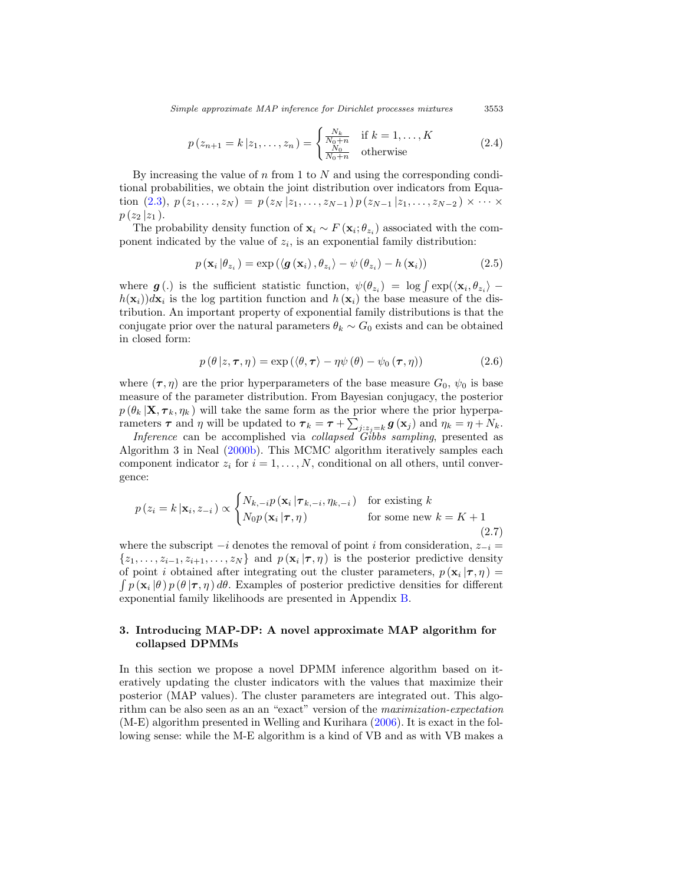Simple approximate MAP inference for Dirichlet processes mixtures 3553

$$
p(z_{n+1} = k | z_1, ..., z_n) = \begin{cases} \frac{N_k}{N_0 + n} & \text{if } k = 1, ..., K \\ \frac{N_0}{N_0 + n} & \text{otherwise} \end{cases}
$$
 (2.4)

By increasing the value of n from 1 to  $N$  and using the corresponding conditional probabilities, we obtain the joint distribution over indicators from Equa-tion [\(2.3\)](#page-4-1),  $p(z_1,...,z_N) = p(z_N | z_1,...,z_{N-1}) p(z_{N-1} | z_1,...,z_{N-2}) \times \cdots \times$  $p(z_2 | z_1).$ 

The probability density function of  $\mathbf{x}_i \sim F(\mathbf{x}_i;\theta_{z_i})$  associated with the component indicated by the value of  $z_i$ , is an exponential family distribution:

$$
p\left(\mathbf{x}_{i}\left|\theta_{z_{i}}\right.\right)=\exp\left(\left\langle \boldsymbol{g}\left(\mathbf{x}_{i}\right),\theta_{z_{i}}\right\rangle -\psi\left(\theta_{z_{i}}\right)-h\left(\mathbf{x}_{i}\right)\right) \tag{2.5}
$$

where  $g(.)$  is the sufficient statistic function,  $\psi(\theta_{z_i}) = \log \int \exp(\langle \mathbf{x}_i, \theta_{z_i} \rangle$  $h(\mathbf{x}_i)$ ) $d\mathbf{x}_i$  is the log partition function and  $h(\mathbf{x}_i)$  the base measure of the distribution. An important property of exponential family distributions is that the conjugate prior over the natural parameters  $\theta_k \sim G_0$  exists and can be obtained in closed form:

$$
p(\theta | z, \tau, \eta) = \exp (\langle \theta, \tau \rangle - \eta \psi(\theta) - \psi_0(\tau, \eta))
$$
\n(2.6)

where  $(\tau, \eta)$  are the prior hyperparameters of the base measure  $G_0$ ,  $\psi_0$  is base measure of the parameter distribution. From Bayesian conjugacy, the posterior  $p(\theta_k | \mathbf{X}, \tau_k, \eta_k)$  will take the same form as the prior where the prior hyperparameters  $\tau$  and  $\eta$  will be updated to  $\tau_k = \tau + \sum_{j:z_j=k} g(x_j)$  and  $\eta_k = \eta + N_k$ .

Inference can be accomplished via *collapsed Gibbs sampling*, presented as Algorithm 3 in Neal [\(2000b](#page-29-6)). This MCMC algorithm iteratively samples each component indicator  $z_i$  for  $i = 1, \ldots, N$ , conditional on all others, until convergence:

$$
p(z_i = k | \mathbf{x}_i, z_{-i}) \propto \begin{cases} N_{k, -i} p(\mathbf{x}_i | \boldsymbol{\tau}_{k, -i}, \eta_{k, -i}) & \text{for existing } k\\ N_0 p(\mathbf{x}_i | \boldsymbol{\tau}, \eta) & \text{for some new } k = K + 1 \end{cases}
$$
(2.7)

where the subscript  $-i$  denotes the removal of point i from consideration,  $z_{-i}$  =  $\{z_1,\ldots,z_{i-1},z_{i+1},\ldots,z_N\}$  and  $p(\mathbf{x}_i|\boldsymbol{\tau},\eta)$  is the posterior predictive density of point i obtained after integrating out the cluster parameters,  $p(\mathbf{x}_i | \tau, \eta) =$  $\int p(\mathbf{x}_i|\theta) p(\theta|\tau,\eta) d\theta$ . Examples of posterior predictive densities for different exponential family likelihoods are presented in Appendix [B.](#page-4-0)

# <span id="page-5-0"></span>**3. Introducing MAP-DP: A novel approximate MAP algorithm for collapsed DPMMs**

In this section we propose a novel DPMM inference algorithm based on iteratively updating the cluster indicators with the values that maximize their posterior (MAP values). The cluster parameters are integrated out. This algorithm can be also seen as an an "exact" version of the maximization-expectation (M-E) algorithm presented in Welling and Kurihara [\(2006](#page-30-3)). It is exact in the following sense: while the M-E algorithm is a kind of VB and as with VB makes a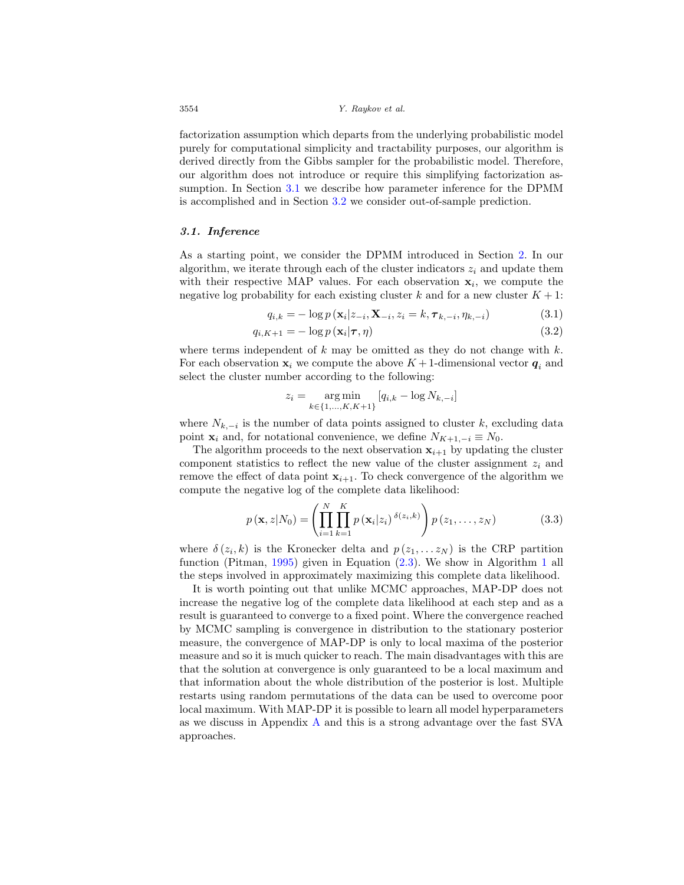factorization assumption which departs from the underlying probabilistic model purely for computational simplicity and tractability purposes, our algorithm is derived directly from the Gibbs sampler for the probabilistic model. Therefore, our algorithm does not introduce or require this simplifying factorization assumption. In Section [3.1](#page-6-0) we describe how parameter inference for the DPMM is accomplished and in Section [3.2](#page-7-0) we consider out-of-sample prediction.

## <span id="page-6-0"></span>*3.1. Inference*

As a starting point, we consider the DPMM introduced in Section [2.](#page-4-0) In our algorithm, we iterate through each of the cluster indicators  $z_i$  and update them with their respective MAP values. For each observation  $x_i$ , we compute the negative log probability for each existing cluster k and for a new cluster  $K + 1$ :

$$
q_{i,k} = -\log p(\mathbf{x}_i | z_{-i}, \mathbf{X}_{-i}, z_i = k, \boldsymbol{\tau}_{k,-i}, \eta_{k,-i})
$$
(3.1)

$$
q_{i,K+1} = -\log p\left(\mathbf{x}_i|\boldsymbol{\tau},\eta\right) \tag{3.2}
$$

where terms independent of  $k$  may be omitted as they do not change with  $k$ . For each observation  $\mathbf{x}_i$  we compute the above  $K+1$ -dimensional vector  $\mathbf{q}_i$  and select the cluster number according to the following:

$$
z_i = \underset{k \in \{1, \dots, K, K+1\}}{\arg \min} [q_{i,k} - \log N_{k,-i}]
$$

where  $N_{k,-i}$  is the number of data points assigned to cluster k, excluding data point **x**<sub>i</sub> and, for notational convenience, we define  $N_{K+1,-i} \equiv N_0$ .

The algorithm proceeds to the next observation  $\mathbf{x}_{i+1}$  by updating the cluster component statistics to reflect the new value of the cluster assignment  $z_i$  and remove the effect of data point  $\mathbf{x}_{i+1}$ . To check convergence of the algorithm we compute the negative log of the complete data likelihood:

$$
p(\mathbf{x}, z|N_0) = \left(\prod_{i=1}^N \prod_{k=1}^K p(\mathbf{x}_i|z_i)^{\delta(z_i, k)}\right) p(z_1, \dots, z_N)
$$
(3.3)

where  $\delta(z_i, k)$  is the Kronecker delta and  $p(z_1,... z_N)$  is the CRP partition function (Pitman, [1995](#page-29-7)) given in Equation [\(2.3\)](#page-4-1). We show in Algorithm [1](#page-7-1) all the steps involved in approximately maximizing this complete data likelihood.

It is worth pointing out that unlike MCMC approaches, MAP-DP does not increase the negative log of the complete data likelihood at each step and as a result is guaranteed to converge to a fixed point. Where the convergence reached by MCMC sampling is convergence in distribution to the stationary posterior measure, the convergence of MAP-DP is only to local maxima of the posterior measure and so it is much quicker to reach. The main disadvantages with this are that the solution at convergence is only guaranteed to be a local maximum and that information about the whole distribution of the posterior is lost. Multiple restarts using random permutations of the data can be used to overcome poor local maximum. With MAP-DP it is possible to learn all model hyperparameters as we discuss in Appendix [A](#page-1-0) and this is a strong advantage over the fast SVA approaches.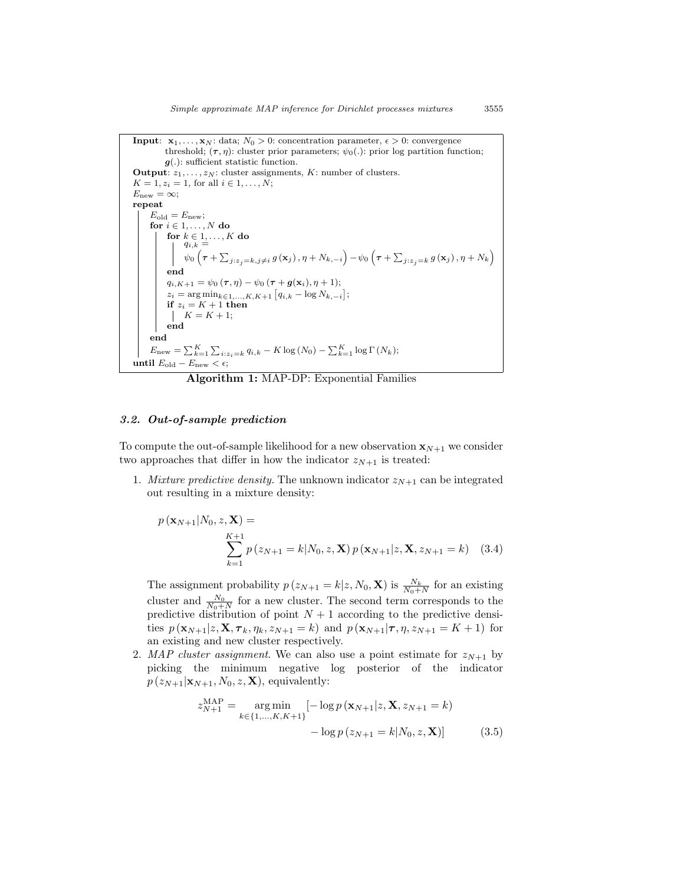```
Input: \mathbf{x}_1, \ldots, \mathbf{x}_N: data; N_0 > 0: concentration parameter, \epsilon > 0: convergence
           threshold; (\tau, \eta): cluster prior parameters; \psi_0(.): prior log partition function;
           g(.): sufficient statistic function.
Output: z_1, \ldots, z_N: cluster assignments, K: number of clusters.
K = 1, z_i = 1, for all i \in 1, ..., N;
E_{\text{new}} = \infty;
repeat
      E_{\text{old}}=E_{\text{new}};\textbf{for} \ i \in {1, \ldots, N}do
            for k \in 1, \ldots, K do
                q_{i,k}=\psi_0\left(\boldsymbol{\tau}+\sum_{j:z_j=k, j\neq i}g\left(\mathbf{x}_j\right), \eta+N_{k,-i}\right)-\psi_0\left(\boldsymbol{\tau}+\sum_{j:z_j=k}g\left(\mathbf{x}_j\right), \eta+N_{k}\right)end
            q_{i,K+1} = \psi_0 (\tau, \eta) - \psi_0 (\tau + g(\mathbf{x}_i), \eta + 1);z_i = \arg \min_{k \in 1, ..., K, K+1} [q_{i,k} - \log N_{k,-i}],if z_i = K + 1 then
             K = K + 1;end
      end
       E_{\text{new}} = \sum_{k=1}^{K} \sum_{i: z_i = k} q_{i,k} - K \log(N_0) - \sum_{k=1}^{K} \log \Gamma(N_k);until E_{\text{old}} – E_{\text{new}} < \epsilon;
```
**Algorithm 1:** MAP-DP: Exponential Families

## <span id="page-7-1"></span><span id="page-7-0"></span>*3.2. Out-of-sample prediction*

To compute the out-of-sample likelihood for a new observation  $\mathbf{x}_{N+1}$  we consider two approaches that differ in how the indicator  $z_{N+1}$  is treated:

1. *Mixture predictive density*. The unknown indicator  $z_{N+1}$  can be integrated out resulting in a mixture density:

<span id="page-7-2"></span>
$$
p(\mathbf{x}_{N+1}|N_0, z, \mathbf{X}) =
$$
  

$$
\sum_{k=1}^{K+1} p(z_{N+1} = k|N_0, z, \mathbf{X}) p(\mathbf{x}_{N+1}|z, \mathbf{X}, z_{N+1} = k) \quad (3.4)
$$

The assignment probability  $p(z_{N+1} = k|z, N_0, \mathbf{X})$  is  $\frac{N_k}{N_0+N}$  for an existing cluster and  $\frac{N_0}{N_0+N}$  for a new cluster. The second term corresponds to the predictive distribution of point  $N+1$  according to the predictive densities  $p(\mathbf{x}_{N+1}|z, \mathbf{X}, \boldsymbol{\tau}_k, \eta_k, z_{N+1} = k)$  and  $p(\mathbf{x}_{N+1}|\boldsymbol{\tau}, \eta, z_{N+1} = K + 1)$  for an existing and new cluster respectively.

2. MAP cluster assignment. We can also use a point estimate for  $z_{N+1}$  by picking the minimum negative log posterior of the indicator  $p(z_{N+1}|\mathbf{x}_{N+1}, N_0, z, \mathbf{X})$ , equivalently:

$$
z_{N+1}^{\text{MAP}} = \underset{k \in \{1, \dots, K, K+1\}}{\arg \min} [-\log p(\mathbf{x}_{N+1} | z, \mathbf{X}, z_{N+1} = k) - \log p(z_{N+1} = k | N_0, z, \mathbf{X})] \tag{3.5}
$$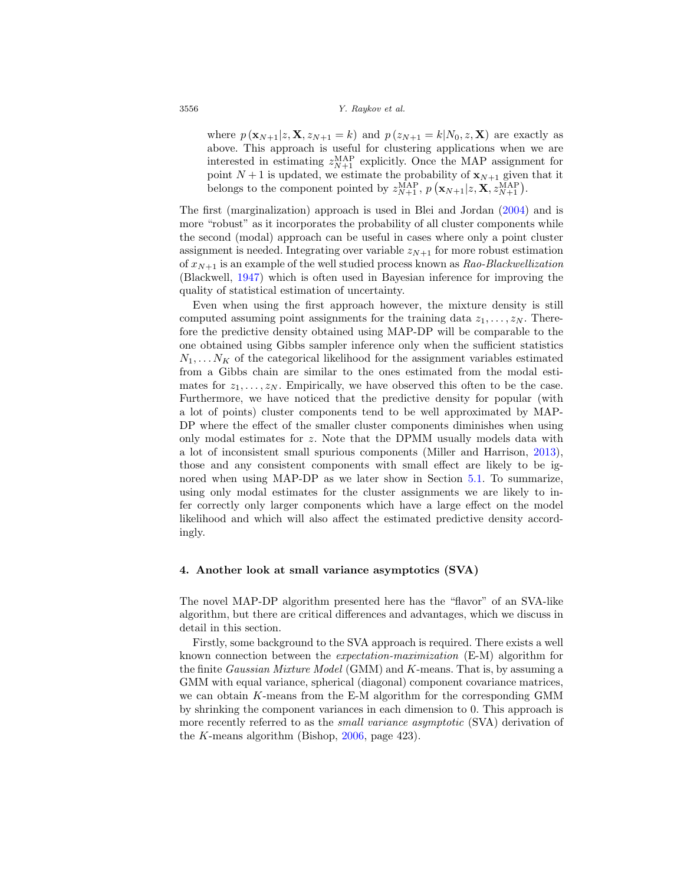where  $p(\mathbf{x}_{N+1}|z, \mathbf{X}, z_{N+1} = k)$  and  $p(z_{N+1} = k|N_0, z, \mathbf{X})$  are exactly as above. This approach is useful for clustering applications when we are interested in estimating  $z_{N+1}^{MAP}$  explicitly. Once the MAP assignment for point  $N+1$  is updated, we estimate the probability of  $\mathbf{x}_{N+1}$  given that it belongs to the component pointed by  $z_{N+1}^{\text{MAP}}$ ,  $p(\mathbf{x}_{N+1}|z, \mathbf{X}, z_{N+1}^{\text{MAP}})$ .

The first (marginalization) approach is used in Blei and Jordan [\(2004](#page-28-3)) and is more "robust" as it incorporates the probability of all cluster components while the second (modal) approach can be useful in cases where only a point cluster assignment is needed. Integrating over variable  $z_{N+1}$  for more robust estimation of  $x_{N+1}$  is an example of the well studied process known as *Rao-Blackwellization* (Blackwell, [1947](#page-28-12)) which is often used in Bayesian inference for improving the quality of statistical estimation of uncertainty.

Even when using the first approach however, the mixture density is still computed assuming point assignments for the training data  $z_1, \ldots, z_N$ . Therefore the predictive density obtained using MAP-DP will be comparable to the one obtained using Gibbs sampler inference only when the sufficient statistics  $N_1,\ldots,N_K$  of the categorical likelihood for the assignment variables estimated from a Gibbs chain are similar to the ones estimated from the modal estimates for  $z_1, \ldots, z_N$ . Empirically, we have observed this often to be the case. Furthermore, we have noticed that the predictive density for popular (with a lot of points) cluster components tend to be well approximated by MAP-DP where the effect of the smaller cluster components diminishes when using only modal estimates for z. Note that the DPMM usually models data with a lot of inconsistent small spurious components (Miller and Harrison, [2013\)](#page-29-8), those and any consistent components with small effect are likely to be ignored when using MAP-DP as we later show in Section [5.1.](#page-12-1) To summarize, using only modal estimates for the cluster assignments we are likely to infer correctly only larger components which have a large effect on the model likelihood and which will also affect the estimated predictive density accordingly.

## <span id="page-8-0"></span>**4. Another look at small variance asymptotics (SVA)**

The novel MAP-DP algorithm presented here has the "flavor" of an SVA-like algorithm, but there are critical differences and advantages, which we discuss in detail in this section.

Firstly, some background to the SVA approach is required. There exists a well known connection between the expectation-maximization (E-M) algorithm for the finite *Gaussian Mixture Model* (GMM) and *K*-means. That is, by assuming a GMM with equal variance, spherical (diagonal) component covariance matrices, we can obtain  $K$ -means from the E-M algorithm for the corresponding GMM by shrinking the component variances in each dimension to 0. This approach is more recently referred to as the small variance asymptotic (SVA) derivation of the K-means algorithm (Bishop, [2006,](#page-28-13) page 423).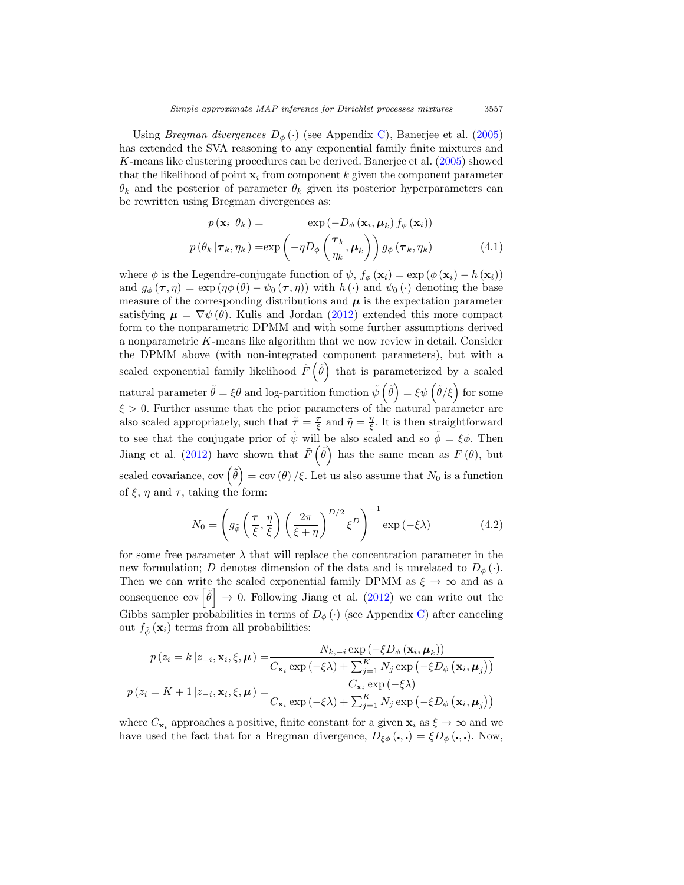Using *Bregman divergences*  $D_{\phi}(\cdot)$  (see Appendix [C\)](#page-5-0), Banerjee et al. [\(2005\)](#page-27-1) has extended the SVA reasoning to any exponential family finite mixtures and K-means like clustering procedures can be derived. Banerjee et al. [\(2005](#page-27-1)) showed that the likelihood of point  $x_i$  from component k given the component parameter  $\theta_k$  and the posterior of parameter  $\theta_k$  given its posterior hyperparameters can be rewritten using Bregman divergences as:

$$
p(\mathbf{x}_{i} | \theta_{k}) = \exp(-D_{\phi}(\mathbf{x}_{i}, \boldsymbol{\mu}_{k}) f_{\phi}(\mathbf{x}_{i}))
$$

$$
p(\theta_{k} | \boldsymbol{\tau}_{k}, \eta_{k}) = \exp\left(-\eta D_{\phi} \left(\frac{\boldsymbol{\tau}_{k}}{\eta_{k}}, \boldsymbol{\mu}_{k}\right)\right) g_{\phi} (\boldsymbol{\tau}_{k}, \eta_{k}) \tag{4.1}
$$

where  $\phi$  is the Legendre-conjugate function of  $\psi$ ,  $f_{\phi}(\mathbf{x}_i) = \exp (\phi(\mathbf{x}_i) - h(\mathbf{x}_i))$ and  $g_{\phi}(\tau, \eta) = \exp \left(\eta \phi(\theta) - \psi_0(\tau, \eta)\right)$  with  $h(\cdot)$  and  $\psi_0(\cdot)$  denoting the base measure of the corresponding distributions and  $\mu$  is the expectation parameter satisfying  $\mu = \nabla \psi(\theta)$ . Kulis and Jordan [\(2012\)](#page-29-3) extended this more compact form to the nonparametric DPMM and with some further assumptions derived a nonparametric K-means like algorithm that we now review in detail. Consider the DPMM above (with non-integrated component parameters), but with a scaled exponential family likelihood  $\tilde{F}(\tilde{\theta})$  that is parameterized by a scaled natural parameter  $\tilde{\theta} = \xi \theta$  and log-partition function  $\tilde{\psi}(\tilde{\theta}) = \xi \psi(\tilde{\theta}/\xi)$  for some  $\xi > 0$ . Further assume that the prior parameters of the natural parameter are also scaled appropriately, such that  $\tilde{\tau} = \frac{\tau}{\xi}$  and  $\tilde{\eta} = \frac{\eta}{\xi}$ . It is then straightforward to see that the conjugate prior of  $\tilde{\psi}$  will be also scaled and so  $\tilde{\phi} = \xi \phi$ . Then Jiang et al. [\(2012\)](#page-28-11) have shown that  $\tilde{F}(\tilde{\theta})$  has the same mean as  $F(\theta)$ , but scaled covariance, cov  $(\tilde{\theta}) = \text{cov}(\theta) / \xi$ . Let us also assume that  $N_0$  is a function of  $\xi$ ,  $\eta$  and  $\tau$ , taking the form:

$$
N_0 = \left( g_{\tilde{\phi}} \left( \frac{\tau}{\xi}, \frac{\eta}{\xi} \right) \left( \frac{2\pi}{\xi + \eta} \right)^{D/2} \xi^D \right)^{-1} \exp(-\xi \lambda) \tag{4.2}
$$

for some free parameter  $\lambda$  that will replace the concentration parameter in the new formulation; D denotes dimension of the data and is unrelated to  $D_{\phi}(\cdot)$ . Then we can write the scaled exponential family DPMM as  $\xi \to \infty$  and as a consequence cov  $\left[\tilde{\theta}\right] \rightarrow 0$ . Following Jiang et al. [\(2012](#page-28-11)) we can write out the Gibbs sampler probabilities in terms of  $D_{\phi}(\cdot)$  (see Appendix [C\)](#page-5-0) after canceling out  $f_{\tilde{\phi}}(\mathbf{x}_i)$  terms from all probabilities:

$$
p(z_i = k | z_{-i}, \mathbf{x}_i, \xi, \boldsymbol{\mu}) = \frac{N_{k,-i} \exp\left(-\xi D_{\phi}(\mathbf{x}_i, \boldsymbol{\mu}_k)\right)}{C_{\mathbf{x}_i} \exp\left(-\xi \lambda\right) + \sum_{j=1}^K N_j \exp\left(-\xi D_{\phi}(\mathbf{x}_i, \boldsymbol{\mu}_j)\right)}
$$

$$
p(z_i = K + 1 | z_{-i}, \mathbf{x}_i, \xi, \boldsymbol{\mu}) = \frac{C_{\mathbf{x}_i} \exp\left(-\xi \lambda\right)}{C_{\mathbf{x}_i} \exp\left(-\xi \lambda\right) + \sum_{j=1}^K N_j \exp\left(-\xi D_{\phi}(\mathbf{x}_i, \boldsymbol{\mu}_j)\right)}
$$

where  $C_{\mathbf{x}_i}$  approaches a positive, finite constant for a given  $\mathbf{x}_i$  as  $\xi \to \infty$  and we have used the fact that for a Bregman divergence,  $D_{\xi\phi}$  (.,.) =  $\xi D_{\phi}$  (.,.). Now,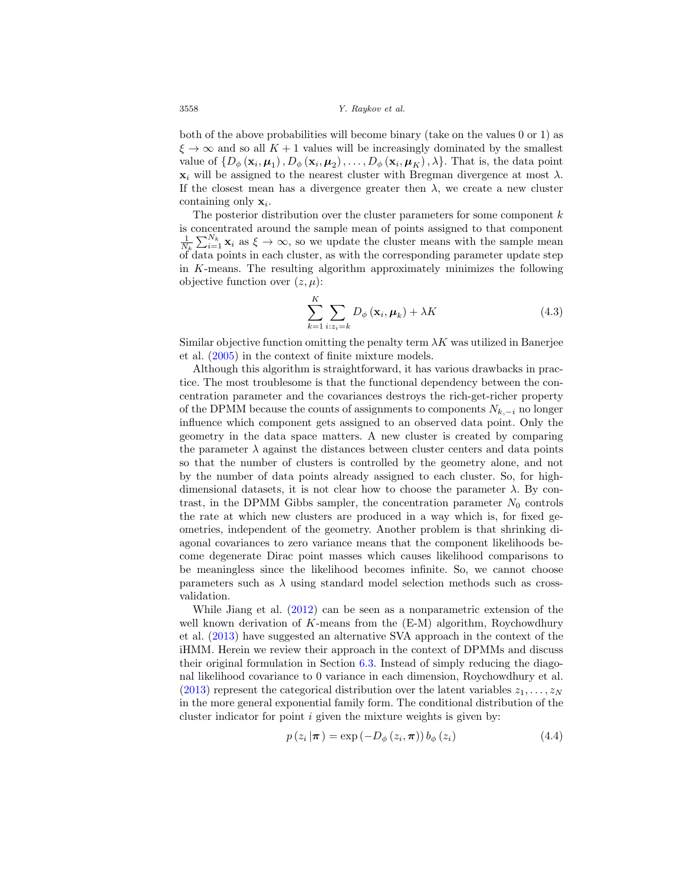both of the above probabilities will become binary (take on the values 0 or 1) as  $\xi \to \infty$  and so all  $K + 1$  values will be increasingly dominated by the smallest value of  $\{D_{\phi}(\mathbf{x}_i, \boldsymbol{\mu}_1), D_{\phi}(\mathbf{x}_i, \boldsymbol{\mu}_2), \ldots, D_{\phi}(\mathbf{x}_i, \boldsymbol{\mu}_K), \lambda\}$ . That is, the data point  $x_i$  will be assigned to the nearest cluster with Bregman divergence at most  $\lambda$ . If the closest mean has a divergence greater then  $\lambda$ , we create a new cluster containing only  $\mathbf{x}_i$ .

The posterior distribution over the cluster parameters for some component  $k$ is concentrated around the sample mean of points assigned to that component  $\frac{1}{N_k} \sum_{i=1}^{N_k} \mathbf{x}_i$  as  $\xi \to \infty$ , so we update the cluster means with the sample mean of data points in each cluster, as with the corresponding parameter update step in K-means. The resulting algorithm approximately minimizes the following objective function over  $(z, \mu)$ :

$$
\sum_{k=1}^{K} \sum_{i:z_i=k} D_{\phi}(\mathbf{x}_i, \boldsymbol{\mu}_k) + \lambda K
$$
\n(4.3)

Similar objective function omitting the penalty term  $\lambda K$  was utilized in Banerjee et al. [\(2005\)](#page-27-1) in the context of finite mixture models.

Although this algorithm is straightforward, it has various drawbacks in practice. The most troublesome is that the functional dependency between the concentration parameter and the covariances destroys the rich-get-richer property of the DPMM because the counts of assignments to components  $N_{k,-i}$  no longer influence which component gets assigned to an observed data point. Only the geometry in the data space matters. A new cluster is created by comparing the parameter  $\lambda$  against the distances between cluster centers and data points so that the number of clusters is controlled by the geometry alone, and not by the number of data points already assigned to each cluster. So, for highdimensional datasets, it is not clear how to choose the parameter  $\lambda$ . By contrast, in the DPMM Gibbs sampler, the concentration parameter  $N_0$  controls the rate at which new clusters are produced in a way which is, for fixed geometries, independent of the geometry. Another problem is that shrinking diagonal covariances to zero variance means that the component likelihoods become degenerate Dirac point masses which causes likelihood comparisons to be meaningless since the likelihood becomes infinite. So, we cannot choose parameters such as  $\lambda$  using standard model selection methods such as crossvalidation.

While Jiang et al.  $(2012)$  can be seen as a nonparametric extension of the well known derivation of K-means from the  $(E-M)$  algorithm, Roychowdhury et al. [\(2013](#page-29-4)) have suggested an alternative SVA approach in the context of the iHMM. Herein we review their approach in the context of DPMMs and discuss their original formulation in Section [6.3.](#page-19-0) Instead of simply reducing the diagonal likelihood covariance to 0 variance in each dimension, Roychowdhury et al. [\(2013](#page-29-4)) represent the categorical distribution over the latent variables  $z_1, \ldots, z_N$ in the more general exponential family form. The conditional distribution of the cluster indicator for point  $i$  given the mixture weights is given by:

<span id="page-10-0"></span>
$$
p(z_i | \boldsymbol{\pi}) = \exp(-D_{\phi}(z_i, \boldsymbol{\pi})) b_{\phi}(z_i)
$$
\n(4.4)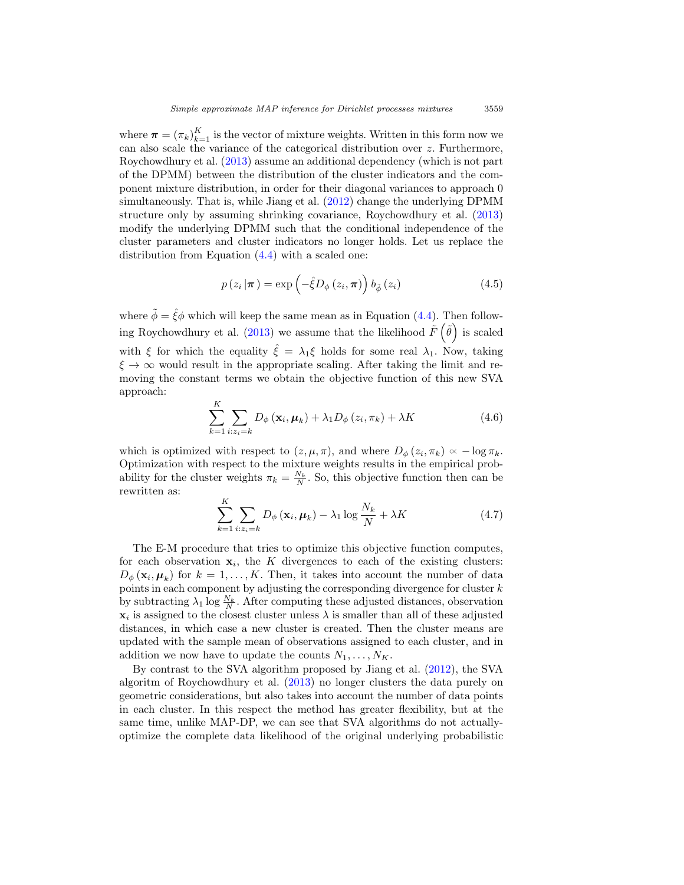where  $\boldsymbol{\pi} = (\pi_k)_{k=1}^K$  is the vector of mixture weights. Written in this form now we can also scale the variance of the categorical distribution over z. Furthermore, Roychowdhury et al. [\(2013\)](#page-29-4) assume an additional dependency (which is not part of the DPMM) between the distribution of the cluster indicators and the component mixture distribution, in order for their diagonal variances to approach 0 simultaneously. That is, while Jiang et al. [\(2012\)](#page-28-11) change the underlying DPMM structure only by assuming shrinking covariance, Roychowdhury et al. [\(2013\)](#page-29-4) modify the underlying DPMM such that the conditional independence of the cluster parameters and cluster indicators no longer holds. Let us replace the distribution from Equation [\(4.4\)](#page-10-0) with a scaled one:

$$
p(z_i | \boldsymbol{\pi}) = \exp\left(-\hat{\xi} D_{\phi}(z_i, \boldsymbol{\pi})\right) b_{\tilde{\phi}}(z_i)
$$
\n(4.5)

where  $\tilde{\phi} = \hat{\xi}\phi$  which will keep the same mean as in Equation [\(4.4\)](#page-10-0). Then follow-ing Roychowdhury et al. [\(2013\)](#page-29-4) we assume that the likelihood  $\tilde{F}(\tilde{\theta})$  is scaled with  $\xi$  for which the equality  $\hat{\xi} = \lambda_1 \xi$  holds for some real  $\lambda_1$ . Now, taking  $\xi \to \infty$  would result in the appropriate scaling. After taking the limit and removing the constant terms we obtain the objective function of this new SVA approach:

$$
\sum_{k=1}^{K} \sum_{i: z_i = k} D_{\phi} (\mathbf{x}_i, \boldsymbol{\mu}_k) + \lambda_1 D_{\phi} (z_i, \pi_k) + \lambda K
$$
 (4.6)

which is optimized with respect to  $(z, \mu, \pi)$ , and where  $D_{\phi}(z_i, \pi_k) \propto -\log \pi_k$ . Optimization with respect to the mixture weights results in the empirical probability for the cluster weights  $\pi_k = \frac{N_k}{N}$ . So, this objective function then can be rewritten as:

$$
\sum_{k=1}^{K} \sum_{i:z_i=k} D_{\phi}\left(\mathbf{x}_i, \boldsymbol{\mu}_k\right) - \lambda_1 \log \frac{N_k}{N} + \lambda K \tag{4.7}
$$

The E-M procedure that tries to optimize this objective function computes, for each observation  $\mathbf{x}_i$ , the K divergences to each of the existing clusters:  $D_{\phi}(\mathbf{x}_i, \boldsymbol{\mu}_k)$  for  $k = 1, \ldots, K$ . Then, it takes into account the number of data points in each component by adjusting the corresponding divergence for cluster  $k$ by subtracting  $\lambda_1 \log \frac{N_k}{N}$ . After computing these adjusted distances, observation  $x_i$  is assigned to the closest cluster unless  $\lambda$  is smaller than all of these adjusted distances, in which case a new cluster is created. Then the cluster means are updated with the sample mean of observations assigned to each cluster, and in addition we now have to update the counts  $N_1, \ldots, N_K$ .

By contrast to the SVA algorithm proposed by Jiang et al. [\(2012\)](#page-28-11), the SVA algoritm of Roychowdhury et al. [\(2013](#page-29-4)) no longer clusters the data purely on geometric considerations, but also takes into account the number of data points in each cluster. In this respect the method has greater flexibility, but at the same time, unlike MAP-DP, we can see that SVA algorithms do not actuallyoptimize the complete data likelihood of the original underlying probabilistic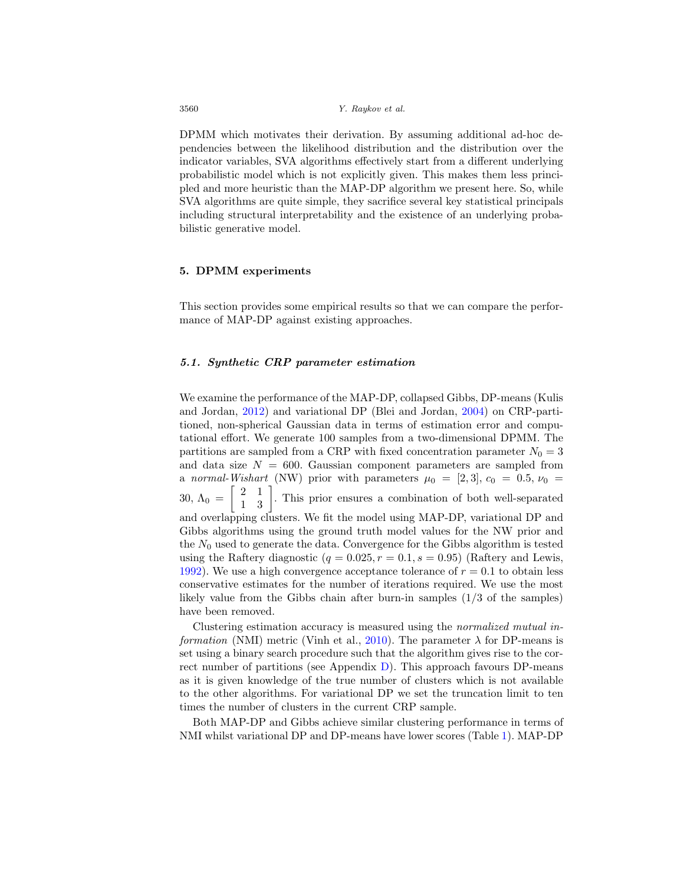DPMM which motivates their derivation. By assuming additional ad-hoc dependencies between the likelihood distribution and the distribution over the indicator variables, SVA algorithms effectively start from a different underlying probabilistic model which is not explicitly given. This makes them less principled and more heuristic than the MAP-DP algorithm we present here. So, while SVA algorithms are quite simple, they sacrifice several key statistical principals including structural interpretability and the existence of an underlying probabilistic generative model.

#### <span id="page-12-0"></span>**5. DPMM experiments**

This section provides some empirical results so that we can compare the performance of MAP-DP against existing approaches.

# <span id="page-12-1"></span>*5.1. Synthetic CRP parameter estimation*

We examine the performance of the MAP-DP, collapsed Gibbs, DP-means (Kulis and Jordan, [2012\)](#page-29-3) and variational DP (Blei and Jordan, [2004](#page-28-3)) on CRP-partitioned, non-spherical Gaussian data in terms of estimation error and computational effort. We generate 100 samples from a two-dimensional DPMM. The partitions are sampled from a CRP with fixed concentration parameter  $N_0 = 3$ and data size  $N = 600$ . Gaussian component parameters are sampled from a normal-Wishart (NW) prior with parameters  $\mu_0 = [2, 3], c_0 = 0.5, \nu_0 =$ 30,  $\Lambda_0 = \begin{bmatrix} 2 & 1 \\ 1 & 3 \end{bmatrix}$ . This prior ensures a combination of both well-separated and overlapping clusters. We fit the model using MAP-DP, variational DP and Gibbs algorithms using the ground truth model values for the NW prior and the  $N_0$  used to generate the data. Convergence for the Gibbs algorithm is tested using the Raftery diagnostic  $(q = 0.025, r = 0.1, s = 0.95)$  (Raftery and Lewis, [1992\)](#page-29-9). We use a high convergence acceptance tolerance of  $r = 0.1$  to obtain less conservative estimates for the number of iterations required. We use the most likely value from the Gibbs chain after burn-in samples (1/3 of the samples) have been removed.

Clustering estimation accuracy is measured using the normalized mutual in-formation (NMI) metric (Vinh et al., [2010\)](#page-30-4). The parameter  $\lambda$  for DP-means is set using a binary search procedure such that the algorithm gives rise to the correct number of partitions (see Appendix [D\)](#page-8-0). This approach favours DP-means as it is given knowledge of the true number of clusters which is not available to the other algorithms. For variational DP we set the truncation limit to ten times the number of clusters in the current CRP sample.

Both MAP-DP and Gibbs achieve similar clustering performance in terms of NMI whilst variational DP and DP-means have lower scores (Table [1\)](#page-13-0). MAP-DP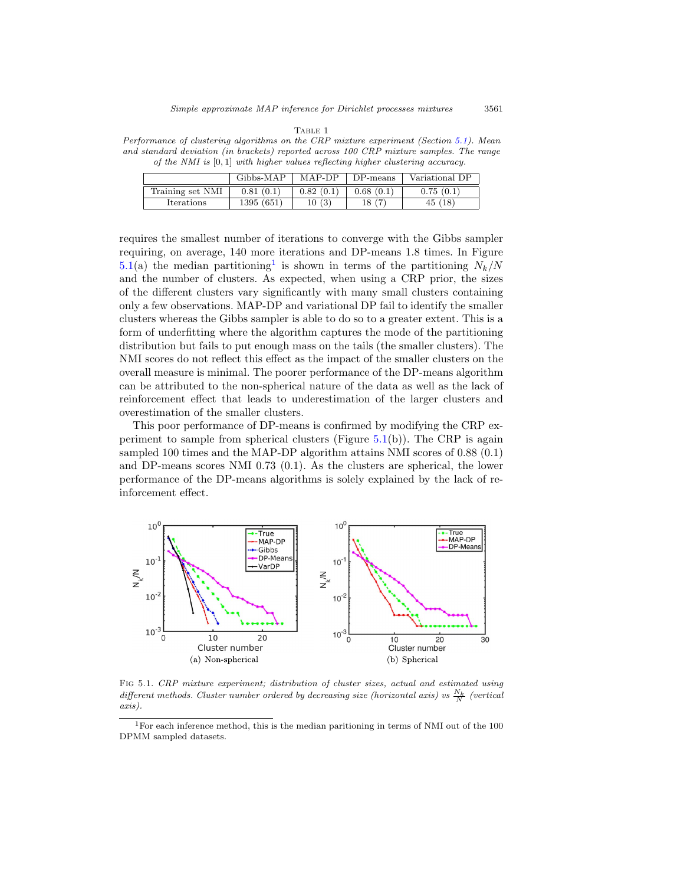TABLE 1

<span id="page-13-0"></span>Performance of clustering algorithms on the CRP mixture experiment (Section [5.1\)](#page-12-1). Mean and standard deviation (in brackets) reported across 100 CRP mixture samples. The range of the NMI is [0, 1] with higher values reflecting higher clustering accuracy.

|                  | Gibbs-MAP  | MAP-DP    | DP-means  | Variational DP |
|------------------|------------|-----------|-----------|----------------|
| Training set NMI | 0.81(0.1)  | 0.82(0.1) | 0.68(0.1) | 0.75(0.1)      |
| Iterations       | 1395 (651) | 10 (3)    | 18 (7     | 45 (18)        |

requires the smallest number of iterations to converge with the Gibbs sampler requiring, on average, 140 more iterations and DP-means 1.8 times. In Figure [5.1\(](#page-13-1)a) the median partitioning<sup>[1](#page-13-2)</sup> is shown in terms of the partitioning  $N_k/N$ and the number of clusters. As expected, when using a CRP prior, the sizes of the different clusters vary significantly with many small clusters containing only a few observations. MAP-DP and variational DP fail to identify the smaller clusters whereas the Gibbs sampler is able to do so to a greater extent. This is a form of underfitting where the algorithm captures the mode of the partitioning distribution but fails to put enough mass on the tails (the smaller clusters). The NMI scores do not reflect this effect as the impact of the smaller clusters on the overall measure is minimal. The poorer performance of the DP-means algorithm can be attributed to the non-spherical nature of the data as well as the lack of reinforcement effect that leads to underestimation of the larger clusters and overestimation of the smaller clusters.

This poor performance of DP-means is confirmed by modifying the CRP experiment to sample from spherical clusters (Figure  $5.1(b)$  $5.1(b)$ ). The CRP is again sampled 100 times and the MAP-DP algorithm attains NMI scores of 0.88 (0.1) and DP-means scores NMI 0.73 (0.1). As the clusters are spherical, the lower performance of the DP-means algorithms is solely explained by the lack of reinforcement effect.



<span id="page-13-1"></span>Fig 5.1. CRP mixture experiment; distribution of cluster sizes, actual and estimated using different methods. Cluster number ordered by decreasing size (horizontal axis) vs  $\frac{N_k}{N}$  (vertical axis).

<span id="page-13-2"></span><sup>&</sup>lt;sup>1</sup>For each inference method, this is the median paritioning in terms of NMI out of the 100 DPMM sampled datasets.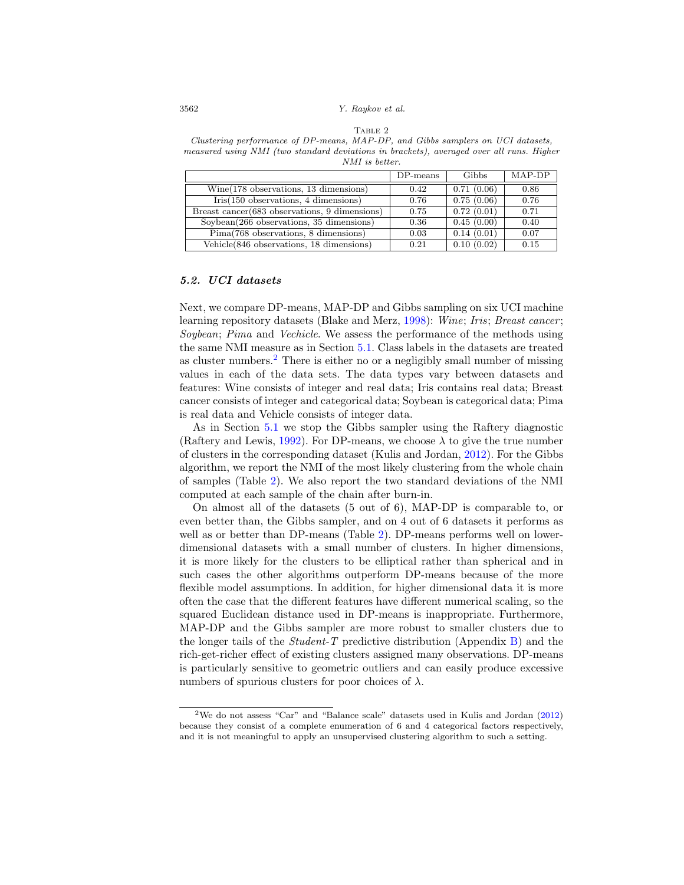#### TABLE 2

<span id="page-14-1"></span>Clustering performance of DP-means, MAP-DP, and Gibbs samplers on UCI datasets, measured using NMI (two standard deviations in brackets), averaged over all runs. Higher NMI is better.

|                                                | $DP$ -means | Gibbs      | MAP-DP |
|------------------------------------------------|-------------|------------|--------|
| Wine (178 observations, 13 dimensions)         | 0.42        | 0.71(0.06) | 0.86   |
| $Iris(150$ observations, 4 dimensions)         | 0.76        | 0.75(0.06) | 0.76   |
| Breast cancer (683 observations, 9 dimensions) | 0.75        | 0.72(0.01) | 0.71   |
| Soybean(266 observations, 35 dimensions)       | 0.36        | 0.45(0.00) | 0.40   |
| Pima(768 observations, 8 dimensions)           | 0.03        | 0.14(0.01) | 0.07   |
| Vehicle(846 observations, 18 dimensions)       | 0.21        | 0.10(0.02) | 0.15   |

*5.2. UCI datasets*

Next, we compare DP-means, MAP-DP and Gibbs sampling on six UCI machine learning repository datasets (Blake and Merz, [1998](#page-28-14)): Wine; Iris; Breast cancer; Soybean; Pima and Vechicle. We assess the performance of the methods using the same NMI measure as in Section [5.1.](#page-12-1) Class labels in the datasets are treated as cluster numbers.[2](#page-14-0) There is either no or a negligibly small number of missing values in each of the data sets. The data types vary between datasets and features: Wine consists of integer and real data; Iris contains real data; Breast cancer consists of integer and categorical data; Soybean is categorical data; Pima is real data and Vehicle consists of integer data.

As in Section [5.1](#page-12-1) we stop the Gibbs sampler using the Raftery diagnostic (Raftery and Lewis, [1992\)](#page-29-9). For DP-means, we choose  $\lambda$  to give the true number of clusters in the corresponding dataset (Kulis and Jordan, [2012\)](#page-29-3). For the Gibbs algorithm, we report the NMI of the most likely clustering from the whole chain of samples (Table [2\)](#page-14-1). We also report the two standard deviations of the NMI computed at each sample of the chain after burn-in.

On almost all of the datasets (5 out of 6), MAP-DP is comparable to, or even better than, the Gibbs sampler, and on 4 out of 6 datasets it performs as well as or better than DP-means (Table [2\)](#page-14-1). DP-means performs well on lowerdimensional datasets with a small number of clusters. In higher dimensions, it is more likely for the clusters to be elliptical rather than spherical and in such cases the other algorithms outperform DP-means because of the more flexible model assumptions. In addition, for higher dimensional data it is more often the case that the different features have different numerical scaling, so the squared Euclidean distance used in DP-means is inappropriate. Furthermore, MAP-DP and the Gibbs sampler are more robust to smaller clusters due to the longer tails of the *Student-T* predictive distribution (Appendix  $\overline{B}$ ) and the rich-get-richer effect of existing clusters assigned many observations. DP-means is particularly sensitive to geometric outliers and can easily produce excessive numbers of spurious clusters for poor choices of  $\lambda$ .

<span id="page-14-0"></span><sup>2</sup>We do not assess "Car" and "Balance scale" datasets used in Kulis and Jordan [\(2012](#page-29-3)) because they consist of a complete enumeration of 6 and 4 categorical factors respectively, and it is not meaningful to apply an unsupervised clustering algorithm to such a setting.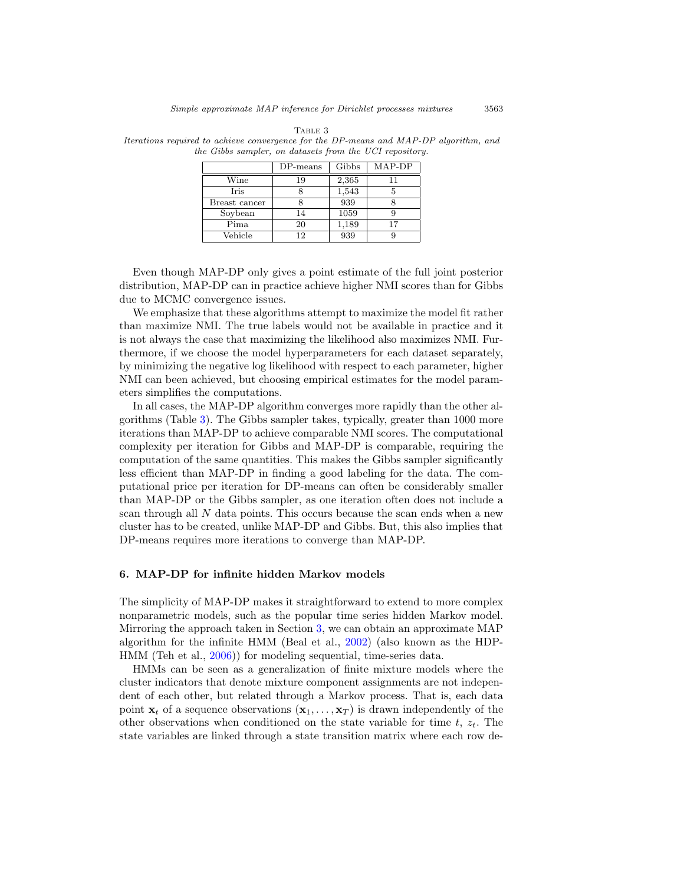|               | $DP$ -means | Gibbs | MAP-DP |
|---------------|-------------|-------|--------|
| Wine          | 19          | 2,365 |        |
| Iris          |             | 1,543 |        |
| Breast cancer |             | 939   |        |
| Soybean       | 14          | 1059  |        |
| Pima          | 20          | 1,189 | 17     |
| Vehicle       | 12          | 939   |        |

<span id="page-15-1"></span>TABLE 3 Iterations required to achieve convergence for the DP-means and MAP-DP algorithm, and the Gibbs sampler, on datasets from the UCI repository.

Even though MAP-DP only gives a point estimate of the full joint posterior distribution, MAP-DP can in practice achieve higher NMI scores than for Gibbs due to MCMC convergence issues.

We emphasize that these algorithms attempt to maximize the model fit rather than maximize NMI. The true labels would not be available in practice and it is not always the case that maximizing the likelihood also maximizes NMI. Furthermore, if we choose the model hyperparameters for each dataset separately, by minimizing the negative log likelihood with respect to each parameter, higher NMI can been achieved, but choosing empirical estimates for the model parameters simplifies the computations.

In all cases, the MAP-DP algorithm converges more rapidly than the other algorithms (Table [3\)](#page-15-1). The Gibbs sampler takes, typically, greater than 1000 more iterations than MAP-DP to achieve comparable NMI scores. The computational complexity per iteration for Gibbs and MAP-DP is comparable, requiring the computation of the same quantities. This makes the Gibbs sampler significantly less efficient than MAP-DP in finding a good labeling for the data. The computational price per iteration for DP-means can often be considerably smaller than MAP-DP or the Gibbs sampler, as one iteration often does not include a scan through all N data points. This occurs because the scan ends when a new cluster has to be created, unlike MAP-DP and Gibbs. But, this also implies that DP-means requires more iterations to converge than MAP-DP.

#### <span id="page-15-0"></span>**6. MAP-DP for infinite hidden Markov models**

The simplicity of MAP-DP makes it straightforward to extend to more complex nonparametric models, such as the popular time series hidden Markov model. Mirroring the approach taken in Section [3,](#page-5-0) we can obtain an approximate MAP algorithm for the infinite HMM (Beal et al., [2002](#page-28-1)) (also known as the HDP-HMM (Teh et al., [2006\)](#page-29-0)) for modeling sequential, time-series data.

HMMs can be seen as a generalization of finite mixture models where the cluster indicators that denote mixture component assignments are not independent of each other, but related through a Markov process. That is, each data point  $\mathbf{x}_t$  of a sequence observations  $(\mathbf{x}_1, \ldots, \mathbf{x}_T)$  is drawn independently of the other observations when conditioned on the state variable for time  $t$ ,  $z_t$ . The state variables are linked through a state transition matrix where each row de-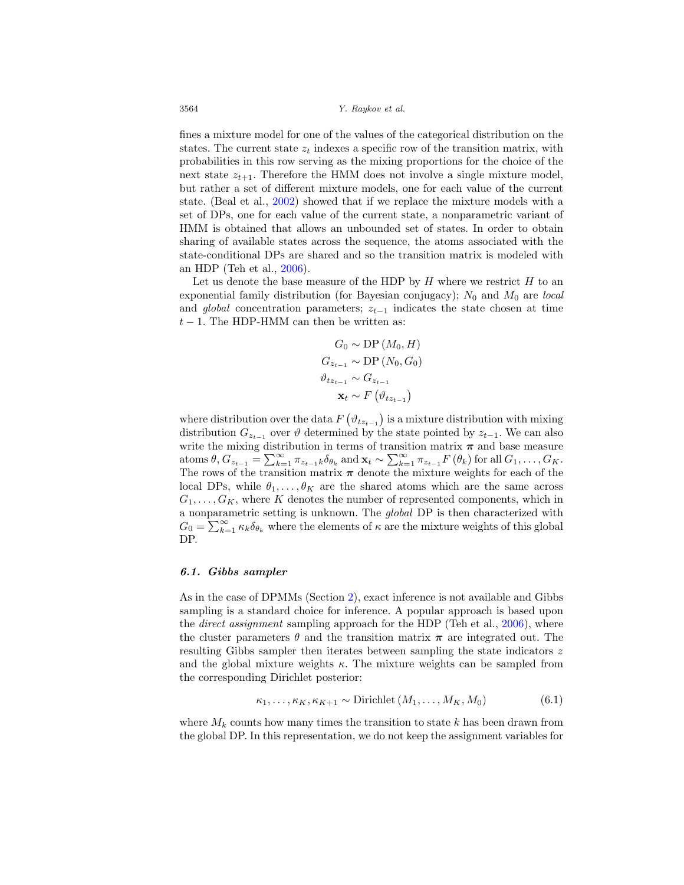fines a mixture model for one of the values of the categorical distribution on the states. The current state  $z_t$  indexes a specific row of the transition matrix, with probabilities in this row serving as the mixing proportions for the choice of the next state  $z_{t+1}$ . Therefore the HMM does not involve a single mixture model, but rather a set of different mixture models, one for each value of the current state. (Beal et al., [2002\)](#page-28-1) showed that if we replace the mixture models with a set of DPs, one for each value of the current state, a nonparametric variant of HMM is obtained that allows an unbounded set of states. In order to obtain sharing of available states across the sequence, the atoms associated with the state-conditional DPs are shared and so the transition matrix is modeled with an HDP (Teh et al., [2006](#page-29-0)).

Let us denote the base measure of the HDP by  $H$  where we restrict  $H$  to an exponential family distribution (for Bayesian conjugacy);  $N_0$  and  $M_0$  are *local* and global concentration parameters;  $z_{t-1}$  indicates the state chosen at time  $t-1$ . The HDP-HMM can then be written as:

$$
G_0 \sim \text{DP}(M_0, H)
$$
  
\n
$$
G_{z_{t-1}} \sim \text{DP}(N_0, G_0)
$$
  
\n
$$
\vartheta_{tz_{t-1}} \sim G_{z_{t-1}}
$$
  
\n
$$
\mathbf{x}_t \sim F(\vartheta_{tz_{t-1}})
$$

where distribution over the data  $F\left(\vartheta_{t z_{t-1}}\right)$  is a mixture distribution with mixing distribution  $G_{z_{t-1}}$  over  $\vartheta$  determined by the state pointed by  $z_{t-1}$ . We can also write the mixing distribution in terms of transition matrix  $\pi$  and base measure atoms  $\theta$ ,  $G_{z_{t-1}} = \sum_{k=1}^{\infty} \pi_{z_{t-1}k} \delta_{\theta_k}$  and  $\mathbf{x}_t \sim \sum_{k=1}^{\infty} \pi_{z_{t-1}} F(\theta_k)$  for all  $G_1, \ldots, G_K$ . The rows of the transition matrix  $\pi$  denote the mixture weights for each of the local DPs, while  $\theta_1, \ldots, \theta_K$  are the shared atoms which are the same across  $G_1, \ldots, G_K$ , where K denotes the number of represented components, which in a nonparametric setting is unknown. The global DP is then characterized with  $G_0 = \sum_{k=1}^{\infty} \kappa_k \delta_{\theta_k}$  where the elements of  $\kappa$  are the mixture weights of this global DP.

# *6.1. Gibbs sampler*

As in the case of DPMMs (Section [2\)](#page-4-0), exact inference is not available and Gibbs sampling is a standard choice for inference. A popular approach is based upon the *direct assignment* sampling approach for the HDP (Teh et al., [2006](#page-29-0)), where the cluster parameters  $\theta$  and the transition matrix  $\pi$  are integrated out. The resulting Gibbs sampler then iterates between sampling the state indicators z and the global mixture weights  $\kappa$ . The mixture weights can be sampled from the corresponding Dirichlet posterior:

$$
\kappa_1, \ldots, \kappa_K, \kappa_{K+1} \sim \text{Dirichlet}\left(M_1, \ldots, M_K, M_0\right) \tag{6.1}
$$

where  $M_k$  counts how many times the transition to state k has been drawn from the global DP. In this representation, we do not keep the assignment variables for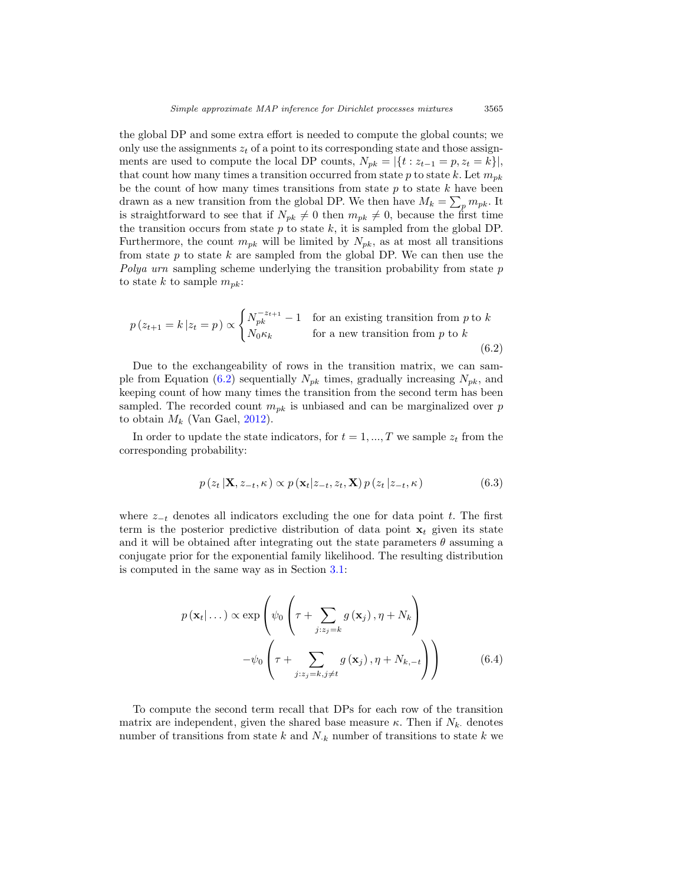the global DP and some extra effort is needed to compute the global counts; we only use the assignments  $z_t$  of a point to its corresponding state and those assignments are used to compute the local DP counts,  $N_{pk} = |\{t : z_{t-1} = p, z_t = k\}|,$ that count how many times a transition occurred from state p to state k. Let  $m_{pk}$ be the count of how many times transitions from state  $p$  to state  $k$  have been drawn as a new transition from the global DP. We then have  $M_k = \sum_p m_{pk}$ . It is straightforward to see that if  $N_{pk} \neq 0$  then  $m_{pk} \neq 0$ , because the first time the transition occurs from state  $p$  to state  $k$ , it is sampled from the global DP. Furthermore, the count  $m_{pk}$  will be limited by  $N_{pk}$ , as at most all transitions from state p to state k are sampled from the global DP. We can then use the Polya urn sampling scheme underlying the transition probability from state p to state k to sample  $m_{pk}$ :

<span id="page-17-0"></span>
$$
p(z_{t+1} = k | z_t = p) \propto \begin{cases} N_{pk}^{-z_{t+1}} - 1 & \text{for an existing transition from } p \text{ to } k\\ N_0 \kappa_k & \text{for a new transition from } p \text{ to } k \end{cases}
$$
(6.2)

Due to the exchangeability of rows in the transition matrix, we can sam-ple from Equation [\(6.2\)](#page-17-0) sequentially  $N_{pk}$  times, gradually increasing  $N_{pk}$ , and keeping count of how many times the transition from the second term has been sampled. The recorded count  $m_{pk}$  is unbiased and can be marginalized over p to obtain  $M_k$  (Van Gael, [2012](#page-30-5)).

In order to update the state indicators, for  $t = 1, ..., T$  we sample  $z_t$  from the corresponding probability:

$$
p(z_t | \mathbf{X}, z_{-t}, \kappa) \propto p(\mathbf{x}_t | z_{-t}, z_t, \mathbf{X}) p(z_t | z_{-t}, \kappa)
$$
\n(6.3)

where  $z_{-t}$  denotes all indicators excluding the one for data point t. The first term is the posterior predictive distribution of data point  $\mathbf{x}_t$  given its state and it will be obtained after integrating out the state parameters  $\theta$  assuming a conjugate prior for the exponential family likelihood. The resulting distribution is computed in the same way as in Section [3.1:](#page-6-0)

$$
p(\mathbf{x}_t | \dots) \propto \exp \left( \psi_0 \left( \tau + \sum_{j: z_j = k} g(\mathbf{x}_j), \eta + N_k \right) - \psi_0 \left( \tau + \sum_{j: z_j = k, j \neq t} g(\mathbf{x}_j), \eta + N_{k, -t} \right) \right)
$$
(6.4)

To compute the second term recall that DPs for each row of the transition matrix are independent, given the shared base measure  $\kappa$ . Then if  $N_k$  denotes number of transitions from state k and  $N_k$  number of transitions to state k we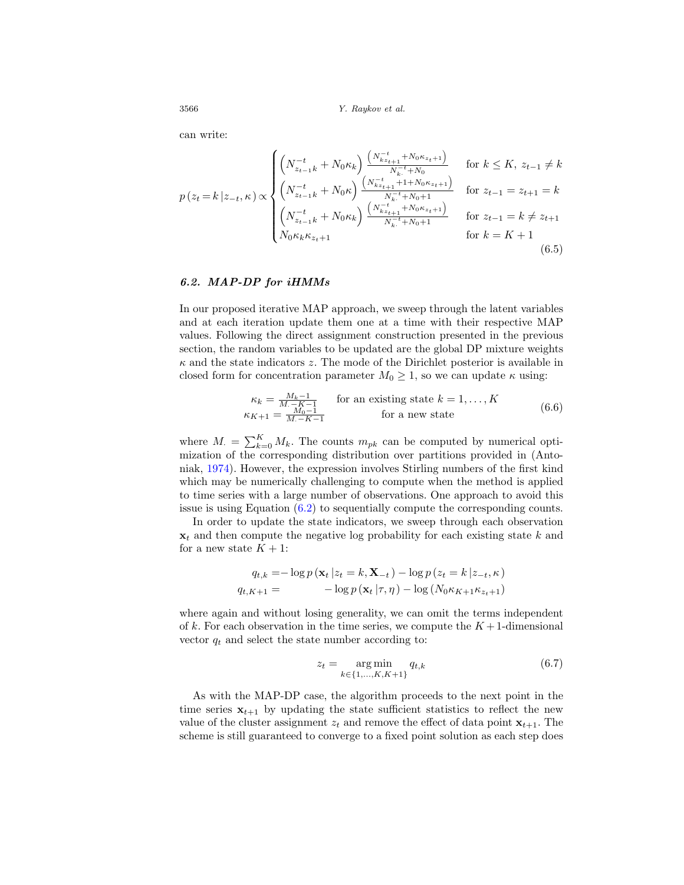can write:

$$
p(z_t = k | z_{-t}, \kappa) \propto \begin{cases} \left(N_{z_{t-1}k}^{-t} + N_0 \kappa_k\right) \frac{\left(N_{k z_{t+1}}^{-t} + N_0 \kappa_{z_t+1}\right)}{N_{k}^{-t} + N_0} & \text{for } k \le K, z_{t-1} \ne k\\ \left(N_{z_{t-1}k}^{-t} + N_0 \kappa\right) \frac{\left(N_{k z_{t+1}}^{-t} + N_0 \kappa_{z_t+1}\right)}{N_{k}^{-t} + N_0 + 1} & \text{for } z_{t-1} = z_{t+1} = k\\ \left(N_{z_{t-1}k}^{-t} + N_0 \kappa_k\right) \frac{\left(N_{k z_{t+1}}^{-t} + N_0 \kappa_{z_t+1}\right)}{N_{k}^{-t} + N_0 + 1} & \text{for } z_{t-1} = k \ne z_{t+1}\\ N_0 \kappa_k \kappa_{z_t+1} & \text{for } k = K + 1 \end{cases}
$$
(6.5)

# *6.2. MAP-DP for iHMMs*

In our proposed iterative MAP approach, we sweep through the latent variables and at each iteration update them one at a time with their respective MAP values. Following the direct assignment construction presented in the previous section, the random variables to be updated are the global DP mixture weights  $\kappa$  and the state indicators z. The mode of the Dirichlet posterior is available in closed form for concentration parameter  $M_0 \geq 1$ , so we can update  $\kappa$  using:

$$
\kappa_k = \frac{M_k - 1}{M - K - 1}
$$
 for an existing state  $k = 1, ..., K$   
\n
$$
\kappa_{K+1} = \frac{M_0 - 1}{M - K - 1}
$$
 for a new state (6.6)

where  $M = \sum_{k=0}^{K} M_k$ . The counts  $m_{pk}$  can be computed by numerical optimization of the corresponding distribution over partitions provided in (Antoniak, [1974](#page-27-2)). However, the expression involves Stirling numbers of the first kind which may be numerically challenging to compute when the method is applied to time series with a large number of observations. One approach to avoid this issue is using Equation  $(6.2)$  to sequentially compute the corresponding counts.

In order to update the state indicators, we sweep through each observation  $x_t$  and then compute the negative log probability for each existing state  $k$  and for a new state  $K + 1$ :

$$
q_{t,k} = -\log p\left(\mathbf{x}_t \, | z_t = k, \mathbf{X}_{-t}\right) - \log p\left(z_t = k \, | z_{-t}, \kappa\right)
$$

$$
q_{t,K+1} = -\log p\left(\mathbf{x}_t \, | \, \tau, \eta\right) - \log\left(N_0 \kappa_{K+1} \kappa_{z_t+1}\right)
$$

where again and without losing generality, we can omit the terms independent of k. For each observation in the time series, we compute the  $K+1$ -dimensional vector  $q_t$  and select the state number according to:

$$
z_t = \underset{k \in \{1, \dots, K, K+1\}}{\arg \min} q_{t,k} \tag{6.7}
$$

As with the MAP-DP case, the algorithm proceeds to the next point in the time series  $\mathbf{x}_{t+1}$  by updating the state sufficient statistics to reflect the new value of the cluster assignment  $z_t$  and remove the effect of data point  $\mathbf{x}_{t+1}$ . The scheme is still guaranteed to converge to a fixed point solution as each step does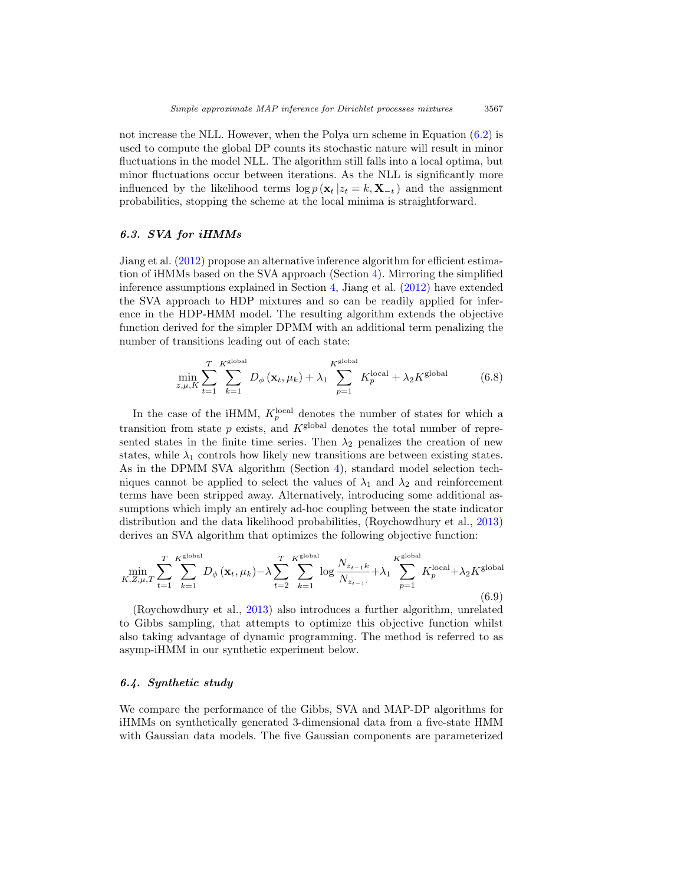not increase the NLL. However, when the Polya urn scheme in Equation [\(6.2\)](#page-17-0) is used to compute the global DP counts its stochastic nature will result in minor fluctuations in the model NLL. The algorithm still falls into a local optima, but minor fluctuations occur between iterations. As the NLL is significantly more influenced by the likelihood terms  $\log p(\mathbf{x}_t | z_t = k, \mathbf{X}_{-t})$  and the assignment probabilities, stopping the scheme at the local minima is straightforward.

# <span id="page-19-0"></span>*6.3. SVA for iHMMs*

Jiang et al. [\(2012\)](#page-28-11) propose an alternative inference algorithm for efficient estimation of iHMMs based on the SVA approach (Section [4\)](#page-8-0). Mirroring the simplified inference assumptions explained in Section [4,](#page-8-0) Jiang et al. [\(2012\)](#page-28-11) have extended the SVA approach to HDP mixtures and so can be readily applied for inference in the HDP-HMM model. The resulting algorithm extends the objective function derived for the simpler DPMM with an additional term penalizing the number of transitions leading out of each state:

$$
\min_{z,\mu,K} \sum_{t=1}^{T} \sum_{k=1}^{K^{\text{global}}} D_{\phi}(\mathbf{x}_{t}, \mu_{k}) + \lambda_1 \sum_{p=1}^{K^{\text{global}}} K_p^{\text{local}} + \lambda_2 K^{\text{global}} \tag{6.8}
$$

In the case of the iHMM,  $K_p^{\text{local}}$  denotes the number of states for which a transition from state  $p$  exists, and  $K^{\text{global}}$  denotes the total number of represented states in the finite time series. Then  $\lambda_2$  penalizes the creation of new states, while  $\lambda_1$  controls how likely new transitions are between existing states. As in the DPMM SVA algorithm (Section [4\)](#page-8-0), standard model selection techniques cannot be applied to select the values of  $\lambda_1$  and  $\lambda_2$  and reinforcement terms have been stripped away. Alternatively, introducing some additional assumptions which imply an entirely ad-hoc coupling between the state indicator distribution and the data likelihood probabilities, (Roychowdhury et al., [2013\)](#page-29-4) derives an SVA algorithm that optimizes the following objective function:

$$
\min_{K,Z,\mu,T} \sum_{t=1}^{T} \sum_{k=1}^{K^{\text{global}}} D_{\phi}(\mathbf{x}_{t},\mu_{k}) - \lambda \sum_{t=2}^{T} \sum_{k=1}^{K^{\text{global}}}\log \frac{N_{z_{t-1}k}}{N_{z_{t-1}}} + \lambda_{1} \sum_{p=1}^{K^{\text{global}}K^{\text{local}}_{p}} + \lambda_{2}K^{\text{global}} \tag{6.9}
$$

(Roychowdhury et al., [2013](#page-29-4)) also introduces a further algorithm, unrelated to Gibbs sampling, that attempts to optimize this objective function whilst also taking advantage of dynamic programming. The method is referred to as asymp-iHMM in our synthetic experiment below.

#### *6.4. Synthetic study*

We compare the performance of the Gibbs, SVA and MAP-DP algorithms for iHMMs on synthetically generated 3-dimensional data from a five-state HMM with Gaussian data models. The five Gaussian components are parameterized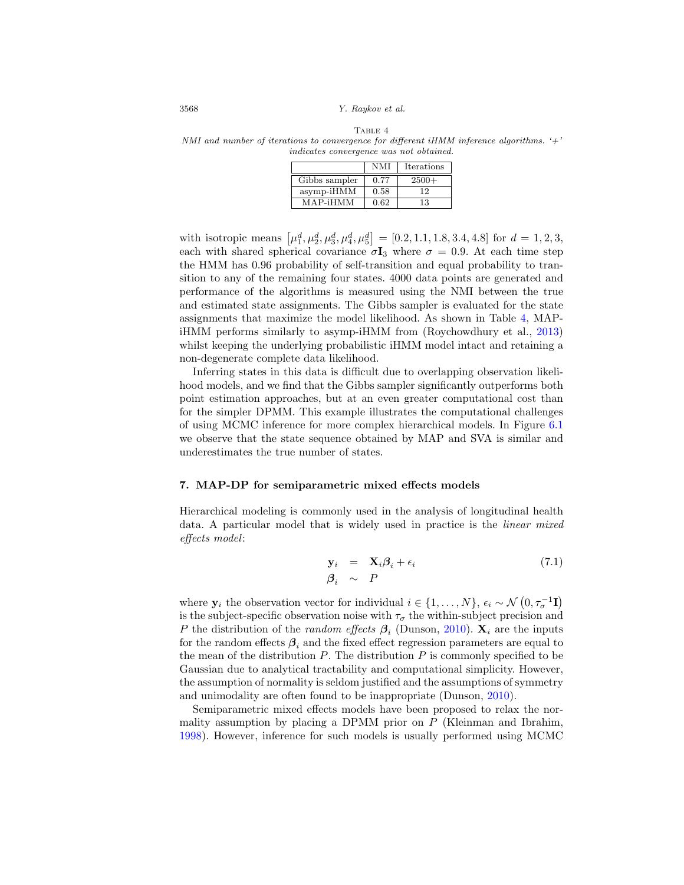<span id="page-20-1"></span>TABLE 4 NMI and number of iterations to convergence for different iHMM inference algorithms.  $'$ +' indicates convergence was not obtained.

|               | NMI  | Iterations |
|---------------|------|------------|
| Gibbs sampler | 0.77 | $2500+$    |
| asymp-iHMM    | 0.58 | 12         |
| MAP-iHMM      | 0.62 | 13         |

with isotropic means  $\left[\mu_1^d, \mu_2^d, \mu_3^d, \mu_4^d, \mu_5^d\right] = \left[0.2, 1.1, 1.8, 3.4, 4.8\right]$  for  $d = 1, 2, 3$ , each with shared spherical covariance  $\sigma$ **I**<sub>3</sub> where  $\sigma = 0.9$ . At each time step the HMM has 0.96 probability of self-transition and equal probability to transition to any of the remaining four states. 4000 data points are generated and performance of the algorithms is measured using the NMI between the true and estimated state assignments. The Gibbs sampler is evaluated for the state assignments that maximize the model likelihood. As shown in Table [4,](#page-20-1) MAPiHMM performs similarly to asymp-iHMM from (Roychowdhury et al., [2013\)](#page-29-4) whilst keeping the underlying probabilistic iHMM model intact and retaining a non-degenerate complete data likelihood.

Inferring states in this data is difficult due to overlapping observation likelihood models, and we find that the Gibbs sampler significantly outperforms both point estimation approaches, but at an even greater computational cost than for the simpler DPMM. This example illustrates the computational challenges of using MCMC inference for more complex hierarchical models. In Figure [6.1](#page-21-0) we observe that the state sequence obtained by MAP and SVA is similar and underestimates the true number of states.

#### <span id="page-20-0"></span>**7. MAP-DP for semiparametric mixed effects models**

Hierarchical modeling is commonly used in the analysis of longitudinal health data. A particular model that is widely used in practice is the linear mixed effects model:

<span id="page-20-2"></span>
$$
\mathbf{y}_i = \mathbf{X}_i \boldsymbol{\beta}_i + \boldsymbol{\epsilon}_i
$$
  
\n
$$
\boldsymbol{\beta}_i \sim P
$$
\n(7.1)

where  $y_i$  the observation vector for individual  $i \in \{1, ..., N\}$ ,  $\epsilon_i \sim \mathcal{N}\left(0, \tau_{\sigma}^{-1} \mathbf{I}\right)$ is the subject-specific observation noise with  $\tau_{\sigma}$  the within-subject precision and P the distribution of the *random effects*  $\beta_i$  (Dunson, [2010](#page-28-15)).  $\mathbf{X}_i$  are the inputs for the random effects  $\beta_i$  and the fixed effect regression parameters are equal to the mean of the distribution  $P$ . The distribution  $P$  is commonly specified to be Gaussian due to analytical tractability and computational simplicity. However, the assumption of normality is seldom justified and the assumptions of symmetry and unimodality are often found to be inappropriate (Dunson, [2010](#page-28-15)).

Semiparametric mixed effects models have been proposed to relax the normality assumption by placing a DPMM prior on  $P$  (Kleinman and Ibrahim, [1998\)](#page-29-10). However, inference for such models is usually performed using MCMC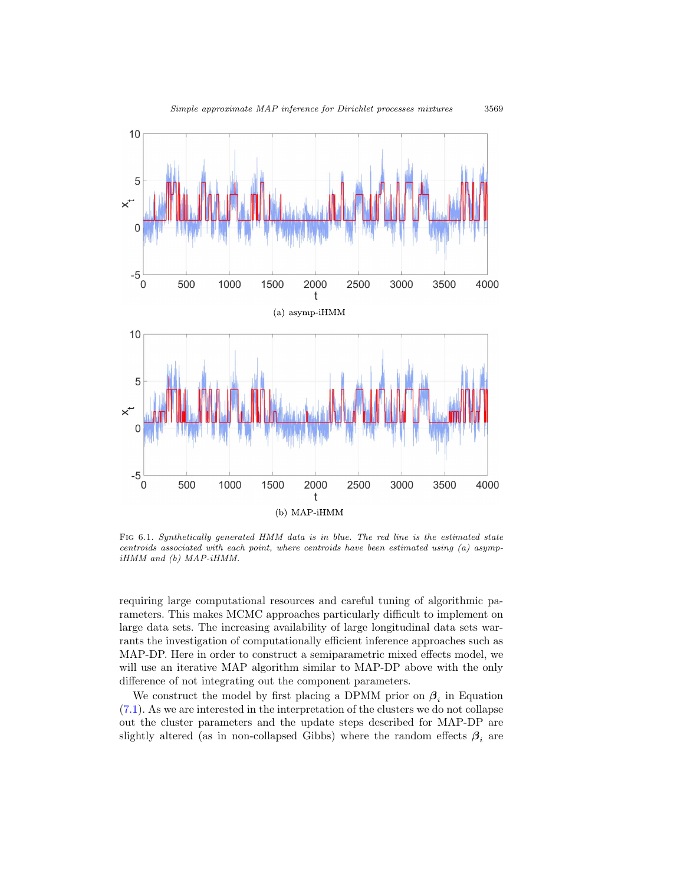

<span id="page-21-0"></span>Fig 6.1. Synthetically generated HMM data is in blue. The red line is the estimated state centroids associated with each point, where centroids have been estimated using (a) asymp $iHMM$  and  $\left(b\right)$  MAP- $iHMM.$ 

requiring large computational resources and careful tuning of algorithmic parameters. This makes MCMC approaches particularly difficult to implement on large data sets. The increasing availability of large longitudinal data sets warrants the investigation of computationally efficient inference approaches such as MAP-DP. Here in order to construct a semiparametric mixed effects model, we will use an iterative MAP algorithm similar to MAP-DP above with the only difference of not integrating out the component parameters.

We construct the model by first placing a DPMM prior on  $\beta_i$  in Equation [\(7.1\)](#page-20-2). As we are interested in the interpretation of the clusters we do not collapse out the cluster parameters and the update steps described for MAP-DP are slightly altered (as in non-collapsed Gibbs) where the random effects  $\beta_i$  are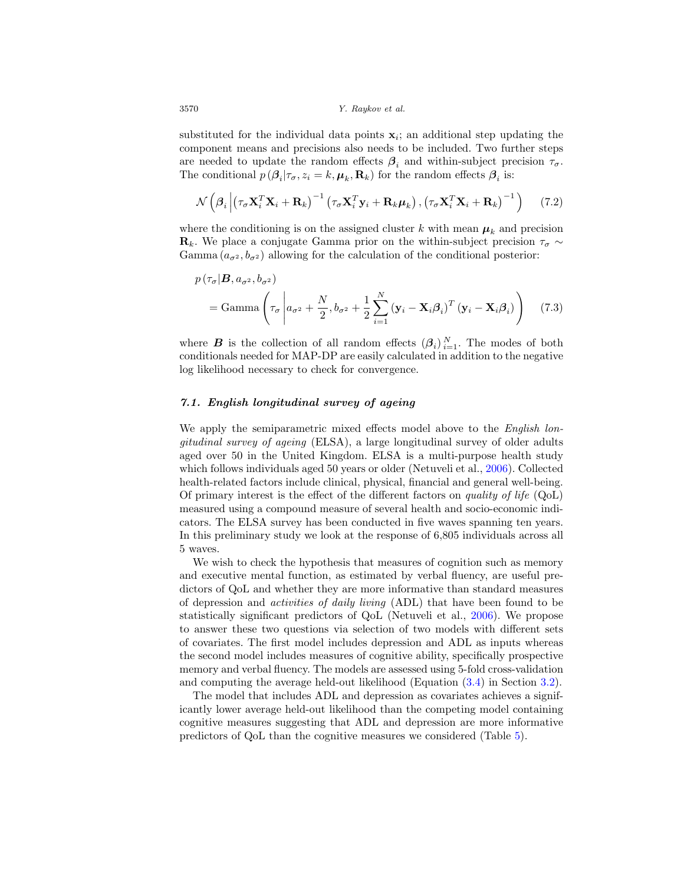substituted for the individual data points  $\mathbf{x}_i$ ; an additional step updating the component means and precisions also needs to be included. Two further steps are needed to update the random effects  $\beta_i$  and within-subject precision  $\tau_{\sigma}$ . The conditional  $p(\beta_i|\tau_\sigma, z_i = k, \mu_k, \mathbf{R}_k)$  for the random effects  $\beta_i$  is:

$$
\mathcal{N}\left(\boldsymbol{\beta}_{i}\left| \left(\tau_{\sigma} \mathbf{X}_{i}^{T} \mathbf{X}_{i} + \mathbf{R}_{k}\right)^{-1}\left(\tau_{\sigma} \mathbf{X}_{i}^{T} \mathbf{y}_{i} + \mathbf{R}_{k} \boldsymbol{\mu}_{k}\right), \left(\tau_{\sigma} \mathbf{X}_{i}^{T} \mathbf{X}_{i} + \mathbf{R}_{k}\right)^{-1}\right) \tag{7.2}
$$

where the conditioning is on the assigned cluster k with mean  $\mu_k$  and precision **R**<sub>k</sub>. We place a conjugate Gamma prior on the within-subject precision  $\tau_{\sigma} \sim$ Gamma  $(a_{\sigma^2}, b_{\sigma^2})$  allowing for the calculation of the conditional posterior:

$$
p(\tau_{\sigma}|\mathbf{B}, a_{\sigma^2}, b_{\sigma^2})
$$
  
= Gamma  $\left(\tau_{\sigma} \middle| a_{\sigma^2} + \frac{N}{2}, b_{\sigma^2} + \frac{1}{2} \sum_{i=1}^N (\mathbf{y}_i - \mathbf{X}_i \boldsymbol{\beta}_i)^T (\mathbf{y}_i - \mathbf{X}_i \boldsymbol{\beta}_i) \right)$  (7.3)

where *B* is the collection of all random effects  $(\beta_i)_{i=1}^N$ . The modes of both conditionals needed for MAP-DP are easily calculated in addition to the negative log likelihood necessary to check for convergence.

## *7.1. English longitudinal survey of ageing*

We apply the semiparametric mixed effects model above to the *English lon*gitudinal survey of ageing (ELSA), a large longitudinal survey of older adults aged over 50 in the United Kingdom. ELSA is a multi-purpose health study which follows individuals aged 50 years or older (Netuveli et al., [2006\)](#page-29-11). Collected health-related factors include clinical, physical, financial and general well-being. Of primary interest is the effect of the different factors on quality of life  $(QoL)$ measured using a compound measure of several health and socio-economic indicators. The ELSA survey has been conducted in five waves spanning ten years. In this preliminary study we look at the response of 6,805 individuals across all 5 waves.

We wish to check the hypothesis that measures of cognition such as memory and executive mental function, as estimated by verbal fluency, are useful predictors of QoL and whether they are more informative than standard measures of depression and activities of daily living (ADL) that have been found to be statistically significant predictors of QoL (Netuveli et al., [2006\)](#page-29-11). We propose to answer these two questions via selection of two models with different sets of covariates. The first model includes depression and ADL as inputs whereas the second model includes measures of cognitive ability, specifically prospective memory and verbal fluency. The models are assessed using 5-fold cross-validation and computing the average held-out likelihood (Equation [\(3.4\)](#page-7-2) in Section [3.2\)](#page-7-0).

The model that includes ADL and depression as covariates achieves a significantly lower average held-out likelihood than the competing model containing cognitive measures suggesting that ADL and depression are more informative predictors of QoL than the cognitive measures we considered (Table [5\)](#page-23-1).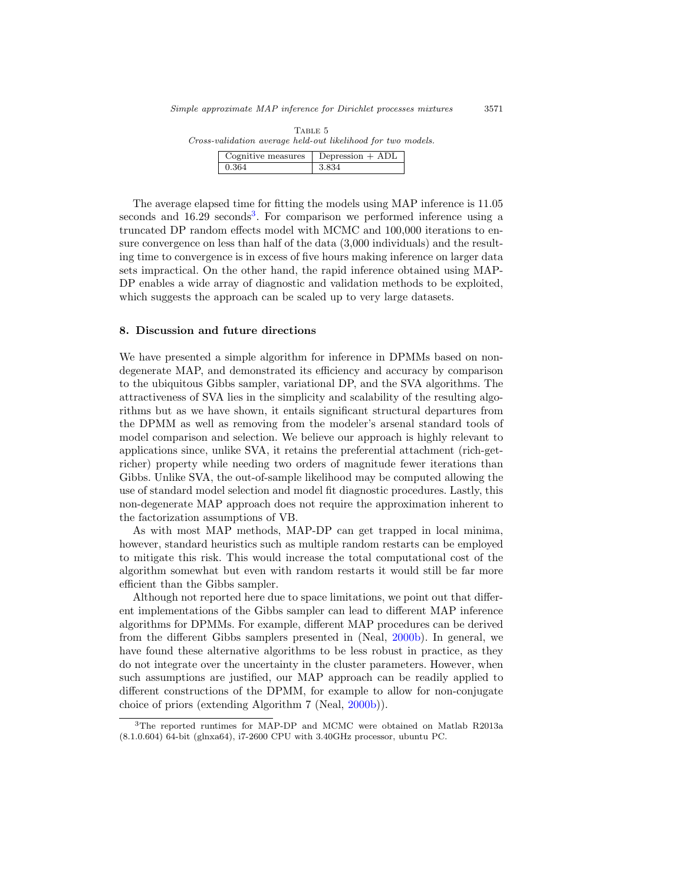|                    | ss-validation average held-out likelihood for two me |  |
|--------------------|------------------------------------------------------|--|
| Cognitive measures | Depression $+$ ADL                                   |  |
| 0.364              | 3.834                                                |  |

TABLE 5

<span id="page-23-1"></span>Cross-validation average held-out likelihood for two models.

The average elapsed time for fitting the models using MAP inference is 11.05 seconds and  $16.29$  seconds<sup>[3](#page-23-2)</sup>. For comparison we performed inference using a truncated DP random effects model with MCMC and 100,000 iterations to ensure convergence on less than half of the data (3,000 individuals) and the resulting time to convergence is in excess of five hours making inference on larger data sets impractical. On the other hand, the rapid inference obtained using MAP-DP enables a wide array of diagnostic and validation methods to be exploited, which suggests the approach can be scaled up to very large datasets.

# <span id="page-23-0"></span>**8. Discussion and future directions**

We have presented a simple algorithm for inference in DPMMs based on nondegenerate MAP, and demonstrated its efficiency and accuracy by comparison to the ubiquitous Gibbs sampler, variational DP, and the SVA algorithms. The attractiveness of SVA lies in the simplicity and scalability of the resulting algorithms but as we have shown, it entails significant structural departures from the DPMM as well as removing from the modeler's arsenal standard tools of model comparison and selection. We believe our approach is highly relevant to applications since, unlike SVA, it retains the preferential attachment (rich-getricher) property while needing two orders of magnitude fewer iterations than Gibbs. Unlike SVA, the out-of-sample likelihood may be computed allowing the use of standard model selection and model fit diagnostic procedures. Lastly, this non-degenerate MAP approach does not require the approximation inherent to the factorization assumptions of VB.

As with most MAP methods, MAP-DP can get trapped in local minima, however, standard heuristics such as multiple random restarts can be employed to mitigate this risk. This would increase the total computational cost of the algorithm somewhat but even with random restarts it would still be far more efficient than the Gibbs sampler.

Although not reported here due to space limitations, we point out that different implementations of the Gibbs sampler can lead to different MAP inference algorithms for DPMMs. For example, different MAP procedures can be derived from the different Gibbs samplers presented in (Neal, [2000b\)](#page-29-6). In general, we have found these alternative algorithms to be less robust in practice, as they do not integrate over the uncertainty in the cluster parameters. However, when such assumptions are justified, our MAP approach can be readily applied to different constructions of the DPMM, for example to allow for non-conjugate choice of priors (extending Algorithm 7 (Neal, [2000b\)](#page-29-6)).

<span id="page-23-2"></span><sup>3</sup>The reported runtimes for MAP-DP and MCMC were obtained on Matlab R2013a (8.1.0.604) 64-bit (glnxa64), i7-2600 CPU with 3.40GHz processor, ubuntu PC.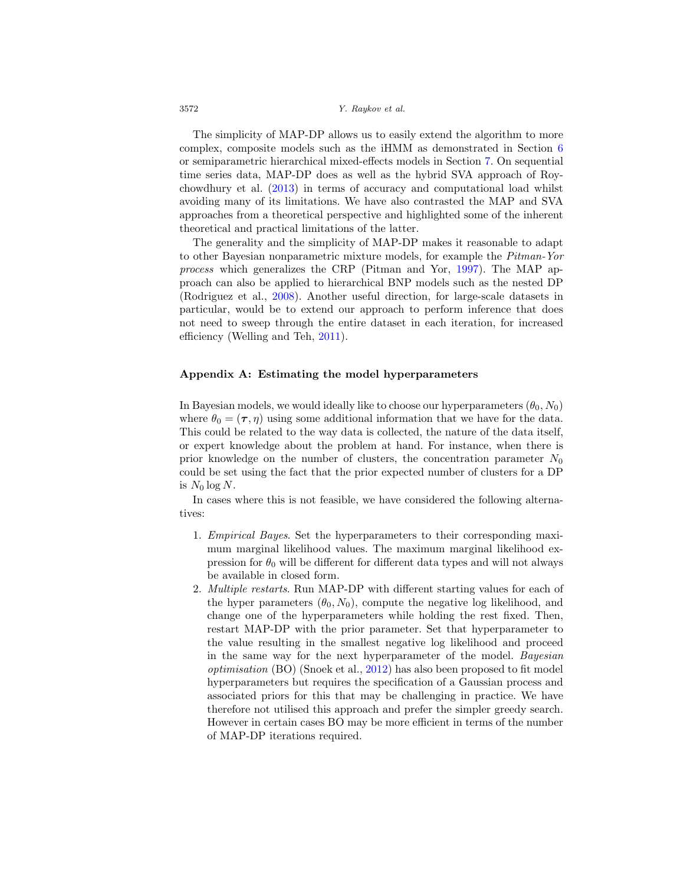The simplicity of MAP-DP allows us to easily extend the algorithm to more complex, composite models such as the iHMM as demonstrated in Section [6](#page-15-0) or semiparametric hierarchical mixed-effects models in Section [7.](#page-20-0) On sequential time series data, MAP-DP does as well as the hybrid SVA approach of Roychowdhury et al. [\(2013\)](#page-29-4) in terms of accuracy and computational load whilst avoiding many of its limitations. We have also contrasted the MAP and SVA approaches from a theoretical perspective and highlighted some of the inherent theoretical and practical limitations of the latter.

The generality and the simplicity of MAP-DP makes it reasonable to adapt to other Bayesian nonparametric mixture models, for example the Pitman-Yor process which generalizes the CRP (Pitman and Yor, [1997\)](#page-29-12). The MAP approach can also be applied to hierarchical BNP models such as the nested DP (Rodriguez et al., [2008\)](#page-29-13). Another useful direction, for large-scale datasets in particular, would be to extend our approach to perform inference that does not need to sweep through the entire dataset in each iteration, for increased efficiency (Welling and Teh, [2011](#page-30-6)).

## **Appendix A: Estimating the model hyperparameters**

In Bayesian models, we would ideally like to choose our hyperparameters  $(\theta_0, N_0)$ where  $\theta_0 = (\tau, \eta)$  using some additional information that we have for the data. This could be related to the way data is collected, the nature of the data itself, or expert knowledge about the problem at hand. For instance, when there is prior knowledge on the number of clusters, the concentration parameter  $N_0$ could be set using the fact that the prior expected number of clusters for a DP is  $N_0 \log N$ .

In cases where this is not feasible, we have considered the following alternatives:

- 1. Empirical Bayes. Set the hyperparameters to their corresponding maximum marginal likelihood values. The maximum marginal likelihood expression for  $\theta_0$  will be different for different data types and will not always be available in closed form.
- 2. Multiple restarts. Run MAP-DP with different starting values for each of the hyper parameters  $(\theta_0, N_0)$ , compute the negative log likelihood, and change one of the hyperparameters while holding the rest fixed. Then, restart MAP-DP with the prior parameter. Set that hyperparameter to the value resulting in the smallest negative log likelihood and proceed in the same way for the next hyperparameter of the model. Bayesian optimisation (BO) (Snoek et al., [2012](#page-29-14)) has also been proposed to fit model hyperparameters but requires the specification of a Gaussian process and associated priors for this that may be challenging in practice. We have therefore not utilised this approach and prefer the simpler greedy search. However in certain cases BO may be more efficient in terms of the number of MAP-DP iterations required.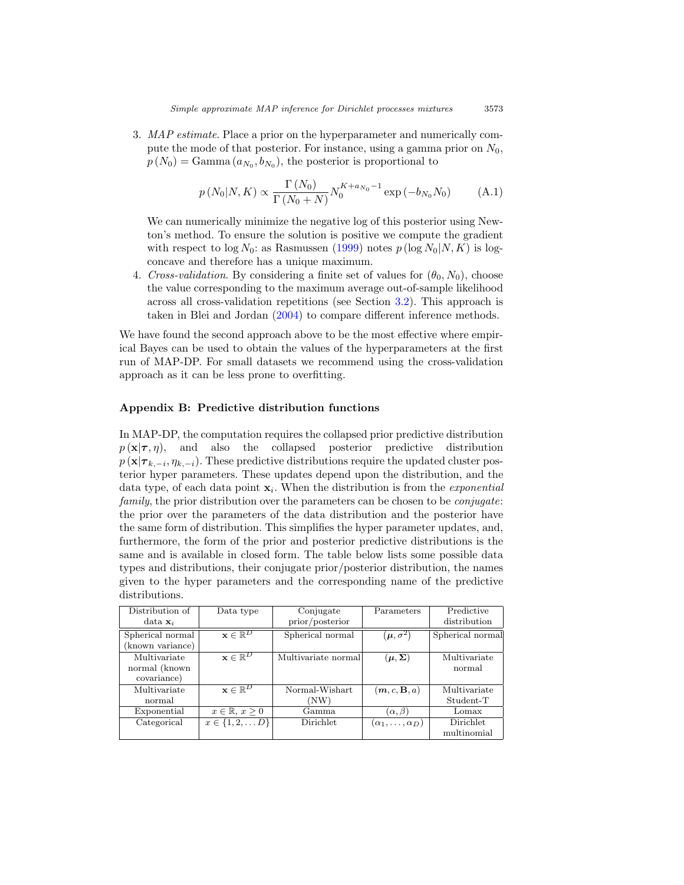3. MAP estimate. Place a prior on the hyperparameter and numerically compute the mode of that posterior. For instance, using a gamma prior on  $N_0$ ,  $p(N_0) = \text{Gamma}(a_{N_0}, b_{N_0}),$  the posterior is proportional to

$$
p(N_0|N, K) \propto \frac{\Gamma(N_0)}{\Gamma(N_0 + N)} N_0^{K + a_{N_0} - 1} \exp(-b_{N_0} N_0)
$$
 (A.1)

We can numerically minimize the negative log of this posterior using Newton's method. To ensure the solution is positive we compute the gradient with respect to  $\log N_0$ : as Rasmussen [\(1999](#page-29-15)) notes  $p(\log N_0|N,K)$  is logconcave and therefore has a unique maximum.

4. Cross-validation. By considering a finite set of values for  $(\theta_0, N_0)$ , choose the value corresponding to the maximum average out-of-sample likelihood across all cross-validation repetitions (see Section [3.2\)](#page-7-0). This approach is taken in Blei and Jordan [\(2004](#page-28-3)) to compare different inference methods.

We have found the second approach above to be the most effective where empirical Bayes can be used to obtain the values of the hyperparameters at the first run of MAP-DP. For small datasets we recommend using the cross-validation approach as it can be less prone to overfitting.

#### **Appendix B: Predictive distribution functions**

In MAP-DP, the computation requires the collapsed prior predictive distribution  $p(\mathbf{x}|\boldsymbol{\tau},\eta)$ , and also the collapsed posterior predictive distribution  $p(\mathbf{x}|\boldsymbol{\tau}_{k,-i},\eta_{k,-i})$ . These predictive distributions require the updated cluster posterior hyper parameters. These updates depend upon the distribution, and the data type, of each data point  $\mathbf{x}_i$ . When the distribution is from the *exponential* family, the prior distribution over the parameters can be chosen to be *conjugate*: the prior over the parameters of the data distribution and the posterior have the same form of distribution. This simplifies the hyper parameter updates, and, furthermore, the form of the prior and posterior predictive distributions is the same and is available in closed form. The table below lists some possible data types and distributions, their conjugate prior/posterior distribution, the names given to the hyper parameters and the corresponding name of the predictive distributions.

| Distribution of<br>data $\mathbf{x}_i$        | Data type                     | Conjugate<br>prior/posterior | Parameters                   | Predictive<br>distribution |
|-----------------------------------------------|-------------------------------|------------------------------|------------------------------|----------------------------|
| Spherical normal<br>(known variance)          | $\mathbf{x} \in \mathbb{R}^D$ | Spherical normal             | $\mu, \sigma^2$              | Spherical normal           |
| Multivariate<br>normal (known)<br>covariance) | $\mathbf{x} \in \mathbb{R}^D$ | Multivariate normal          | $(\mu, \Sigma)$              | Multivariate<br>normal     |
| Multivariate<br>normal                        | $\mathbf{x} \in \mathbb{R}^D$ | Normal-Wishart<br>(NW)       | (m, c, B, a)                 | Multivariate<br>Student-T  |
| Exponential                                   | $x \in \mathbb{R}, x \geq 0$  | Gamma                        | $(\alpha, \beta)$            | Lomax                      |
| Categorical                                   | $x \in \{1, 2, \dots D\}$     | Dirichlet                    | $(\alpha_1,\ldots,\alpha_D)$ | Dirichlet.<br>multinomial  |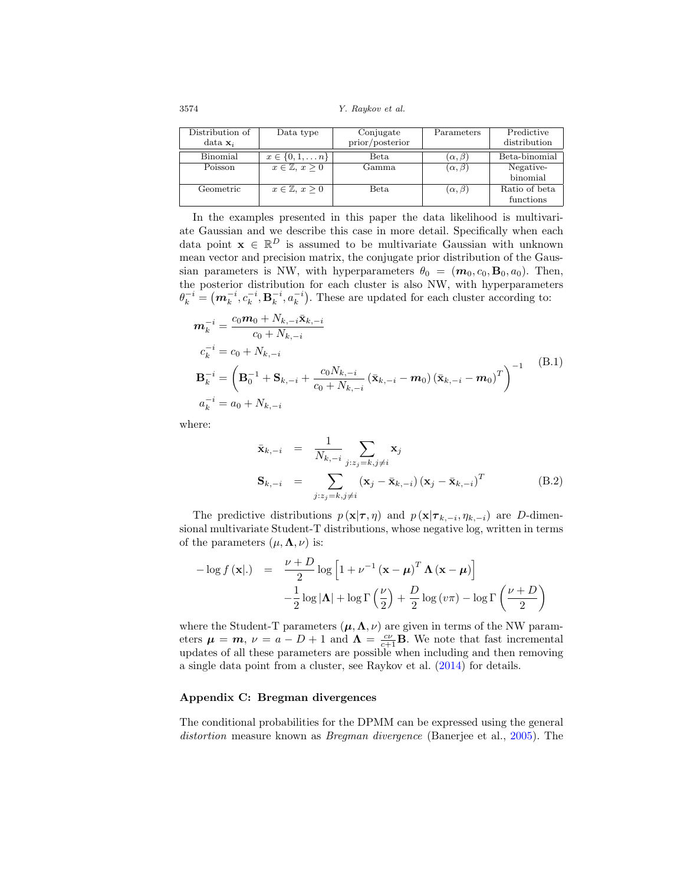3574 Y. Raykov et al.

| Distribution of     | Data type                    | Conjugate       | Parameters        | Predictive    |
|---------------------|------------------------------|-----------------|-------------------|---------------|
| $data \mathbf{x}_i$ |                              | prior/posterior |                   | distribution  |
| <b>Binomial</b>     | $x \in \{0, 1, \ldots n\}$   | Beta            | $\alpha, \beta$   | Beta-binomial |
| Poisson             | $x \in \mathbb{Z}, x \geq 0$ | Gamma           | $(\alpha, \beta)$ | Negative-     |
|                     |                              |                 |                   | binomial      |
| Geometric           | $x \in \mathbb{Z}, x \geq 0$ | Beta.           | $(\alpha, \beta)$ | Ratio of beta |
|                     |                              |                 |                   | functions     |

In the examples presented in this paper the data likelihood is multivariate Gaussian and we describe this case in more detail. Specifically when each data point  $\mathbf{x} \in \mathbb{R}^D$  is assumed to be multivariate Gaussian with unknown mean vector and precision matrix, the conjugate prior distribution of the Gaussian parameters is NW, with hyperparameters  $\theta_0 = (m_0, c_0, B_0, a_0)$ . Then, the posterior distribution for each cluster is also NW, with hyperparameters  $\theta_k^{-i} = \left(m_k^{-i}, c_k^{-i}, \mathbf{B}_k^{-i}, a_k^{-i}\right)$ . These are updated for each cluster according to:

$$
m_k^{-i} = \frac{c_0 m_0 + N_{k,-i} \bar{\mathbf{x}}_{k,-i}}{c_0 + N_{k,-i}}
$$
  
\n
$$
c_k^{-i} = c_0 + N_{k,-i}
$$
  
\n
$$
\mathbf{B}_k^{-i} = \left(\mathbf{B}_0^{-1} + \mathbf{S}_{k,-i} + \frac{c_0 N_{k,-i}}{c_0 + N_{k,-i}} (\bar{\mathbf{x}}_{k,-i} - \mathbf{m}_0) (\bar{\mathbf{x}}_{k,-i} - \mathbf{m}_0)^T\right)^{-1}
$$
 (B.1)  
\n
$$
a_k^{-i} = a_0 + N_{k,-i}
$$

where:

$$
\begin{aligned}\n\bar{\mathbf{x}}_{k,-i} &= \frac{1}{N_{k,-i}} \sum_{j:z_j=k,j\neq i} \mathbf{x}_j \\
\mathbf{S}_{k,-i} &= \sum_{j:z_j=k,j\neq i} (\mathbf{x}_j - \bar{\mathbf{x}}_{k,-i}) (\mathbf{x}_j - \bar{\mathbf{x}}_{k,-i})^T\n\end{aligned} \tag{B.2}
$$

The predictive distributions  $p(\mathbf{x}|\tau, \eta)$  and  $p(\mathbf{x}|\tau_{k,-i}, \eta_{k,-i})$  are D-dimensional multivariate Student-T distributions, whose negative log, written in terms of the parameters  $(\mu, \Lambda, \nu)$  is:

$$
-\log f(\mathbf{x}|.) = \frac{\nu+D}{2}\log\left[1+\nu^{-1}(\mathbf{x}-\boldsymbol{\mu})^T\mathbf{\Lambda}(\mathbf{x}-\boldsymbol{\mu})\right] -\frac{1}{2}\log|\mathbf{\Lambda}| + \log\Gamma\left(\frac{\nu}{2}\right) + \frac{D}{2}\log(v\pi) - \log\Gamma\left(\frac{\nu+D}{2}\right)
$$

where the Student-T parameters  $(\mu, \Lambda, \nu)$  are given in terms of the NW parameters  $\mu = m$ ,  $\nu = a - D + 1$  and  $\Lambda = \frac{c\nu}{c+1}B$ . We note that fast incremental updates of all these parameters are possible when including and then removing a single data point from a cluster, see Raykov et al. [\(2014](#page-29-16)) for details.

#### **Appendix C: Bregman divergences**

The conditional probabilities for the DPMM can be expressed using the general distortion measure known as *Bregman divergence* (Banerjee et al., [2005\)](#page-27-1). The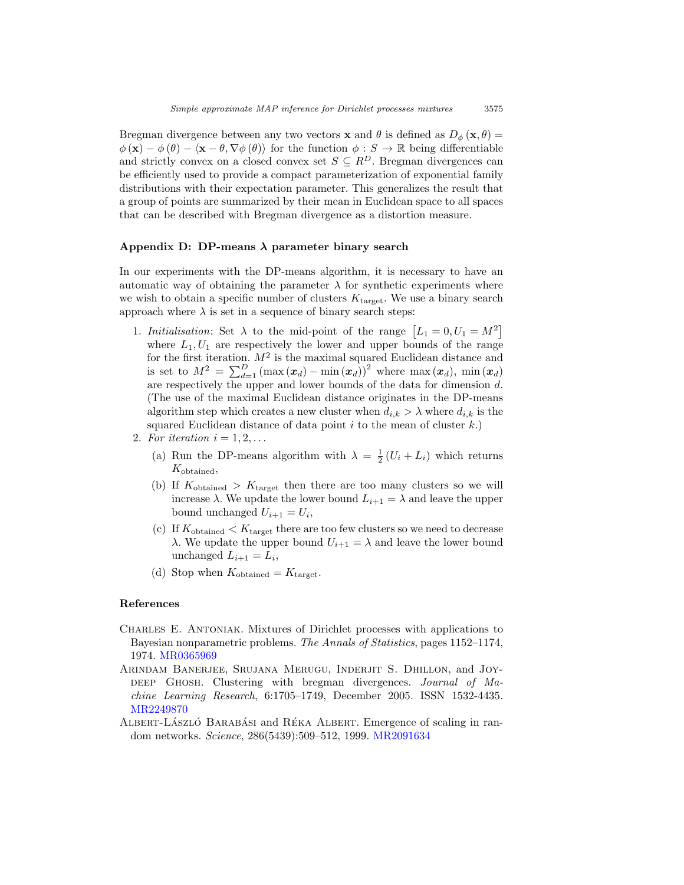Bregman divergence between any two vectors **x** and  $\theta$  is defined as  $D_{\phi}(\mathbf{x}, \theta) =$  $\phi(\mathbf{x}) - \phi(\theta) - \langle \mathbf{x} - \theta, \nabla \phi(\theta) \rangle$  for the function  $\phi : S \to \mathbb{R}$  being differentiable and strictly convex on a closed convex set  $S \subseteq R^D$ . Bregman divergences can be efficiently used to provide a compact parameterization of exponential family distributions with their expectation parameter. This generalizes the result that a group of points are summarized by their mean in Euclidean space to all spaces that can be described with Bregman divergence as a distortion measure.

#### **Appendix D: DP-means** *λ* **parameter binary search**

In our experiments with the DP-means algorithm, it is necessary to have an automatic way of obtaining the parameter  $\lambda$  for synthetic experiments where we wish to obtain a specific number of clusters  $K_{\text{target}}$ . We use a binary search approach where  $\lambda$  is set in a sequence of binary search steps:

- 1. Initialisation: Set  $\lambda$  to the mid-point of the range  $[L_1 = 0, U_1 = M^2]$ where  $L_1, U_1$  are respectively the lower and upper bounds of the range for the first iteration.  $M^2$  is the maximal squared Euclidean distance and is set to  $M^2 = \sum_{d=1}^{D} (\max(\boldsymbol{x}_d) - \min(\boldsymbol{x}_d))^2$  where  $\max(\boldsymbol{x}_d)$ ,  $\min(\boldsymbol{x}_d)$ are respectively the upper and lower bounds of the data for dimension d. (The use of the maximal Euclidean distance originates in the DP-means algorithm step which creates a new cluster when  $d_{i,k} > \lambda$  where  $d_{i,k}$  is the squared Euclidean distance of data point  $i$  to the mean of cluster  $k$ .)
- 2. For iteration  $i = 1, 2, \ldots$ 
	- (a) Run the DP-means algorithm with  $\lambda = \frac{1}{2}(U_i + L_i)$  which returns  $K_{\text{obtained}}$ ,
	- (b) If  $K_{\text{obtained}} > K_{\text{target}}$  then there are too many clusters so we will increase  $\lambda$ . We update the lower bound  $L_{i+1} = \lambda$  and leave the upper bound unchanged  $U_{i+1} = U_i$ ,
	- (c) If  $K_{\text{obtained}} < K_{\text{target}}$  there are too few clusters so we need to decrease λ. We update the upper bound  $U_{i+1} = \lambda$  and leave the lower bound unchanged  $L_{i+1} = L_i$ ,
	- (d) Stop when  $K_{\text{obtained}} = K_{\text{target}}$ .

#### **References**

- <span id="page-27-2"></span>Charles E. Antoniak. Mixtures of Dirichlet processes with applications to Bayesian nonparametric problems. The Annals of Statistics, pages 1152–1174, 1974. [MR0365969](http://www.ams.org/mathscinet-getitem?mr=0365969)
- <span id="page-27-1"></span>Arindam Banerjee, Srujana Merugu, Inderjit S. Dhillon, and Joy-DEEP GHOSH. Clustering with bregman divergences. Journal of Machine Learning Research, 6:1705–1749, December 2005. ISSN 1532-4435. [MR2249870](http://www.ams.org/mathscinet-getitem?mr=2249870)
- <span id="page-27-0"></span>ALBERT-LÁSZLÓ BARABÁSI and RÉKA ALBERT. Emergence of scaling in random networks. Science, 286(5439):509–512, 1999. [MR2091634](http://www.ams.org/mathscinet-getitem?mr=2091634)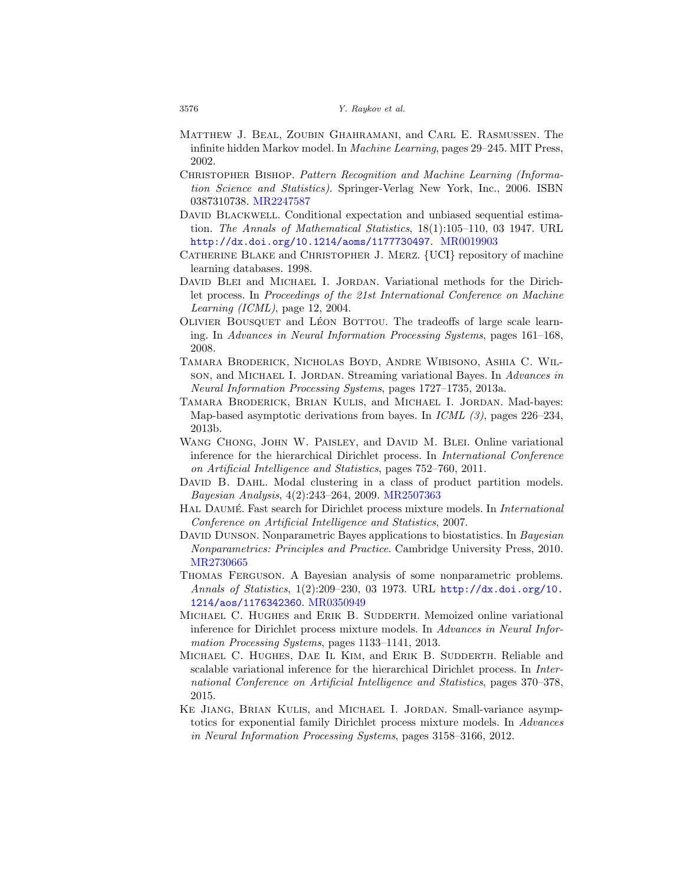- <span id="page-28-1"></span>Matthew J. Beal, Zoubin Ghahramani, and Carl E. Rasmussen. The infinite hidden Markov model. In Machine Learning, pages 29–245. MIT Press, 2002.
- <span id="page-28-13"></span>CHRISTOPHER BISHOP. Pattern Recognition and Machine Learning (Information Science and Statistics). Springer-Verlag New York, Inc., 2006. ISBN 0387310738. [MR2247587](http://www.ams.org/mathscinet-getitem?mr=2247587)
- <span id="page-28-12"></span>DAVID BLACKWELL. Conditional expectation and unbiased sequential estimation. The Annals of Mathematical Statistics, 18(1):105–110, 03 1947. URL <http://dx.doi.org/10.1214/aoms/1177730497>. [MR0019903](http://www.ams.org/mathscinet-getitem?mr=0019903)
- <span id="page-28-14"></span>Catherine Blake and Christopher J. Merz. {UCI} repository of machine learning databases. 1998.
- <span id="page-28-3"></span>DAVID BLEI and MICHAEL I. JORDAN. Variational methods for the Dirichlet process. In Proceedings of the 21st International Conference on Machine Learning (ICML), page 12, 2004.
- <span id="page-28-0"></span>OLIVIER BOUSQUET and LÉON BOTTOU. The tradeoffs of large scale learning. In Advances in Neural Information Processing Systems, pages 161–168, 2008.
- <span id="page-28-4"></span>Tamara Broderick, Nicholas Boyd, Andre Wibisono, Ashia C. Wilson, and MICHAEL I. JORDAN. Streaming variational Bayes. In Advances in Neural Information Processing Systems, pages 1727–1735, 2013a.
- <span id="page-28-10"></span>Tamara Broderick, Brian Kulis, and Michael I. Jordan. Mad-bayes: Map-based asymptotic derivations from bayes. In  $ICML$  (3), pages 226–234, 2013b.
- <span id="page-28-5"></span>WANG CHONG, JOHN W. PAISLEY, and DAVID M. BLEI. Online variational inference for the hierarchical Dirichlet process. In International Conference on Artificial Intelligence and Statistics, pages 752–760, 2011.
- <span id="page-28-9"></span>DAVID B. DAHL. Modal clustering in a class of product partition models. Bayesian Analysis, 4(2):243–264, 2009. [MR2507363](http://www.ams.org/mathscinet-getitem?mr=2507363)
- <span id="page-28-8"></span>HAL DAUMÉ. Fast search for Dirichlet process mixture models. In International Conference on Artificial Intelligence and Statistics, 2007.
- <span id="page-28-15"></span>DAVID DUNSON. Nonparametric Bayes applications to biostatistics. In Bayesian Nonparametrics: Principles and Practice. Cambridge University Press, 2010. [MR2730665](http://www.ams.org/mathscinet-getitem?mr=2730665)
- <span id="page-28-2"></span>Thomas Ferguson. A Bayesian analysis of some nonparametric problems. Annals of Statistics, 1(2):209–230, 03 1973. URL [http://dx.doi.org/10.](http://dx.doi.org/10.1214/aos/1176342360) [1214/aos/1176342360](http://dx.doi.org/10.1214/aos/1176342360). [MR0350949](http://www.ams.org/mathscinet-getitem?mr=0350949)
- <span id="page-28-6"></span>MICHAEL C. HUGHES and ERIK B. SUDDERTH. Memoized online variational inference for Dirichlet process mixture models. In Advances in Neural Information Processing Systems, pages 1133–1141, 2013.
- <span id="page-28-7"></span>MICHAEL C. HUGHES, DAE IL KIM, and ERIK B. SUDDERTH. Reliable and scalable variational inference for the hierarchical Dirichlet process. In International Conference on Artificial Intelligence and Statistics, pages 370–378, 2015.
- <span id="page-28-11"></span>Ke Jiang, Brian Kulis, and Michael I. Jordan. Small-variance asymptotics for exponential family Dirichlet process mixture models. In Advances in Neural Information Processing Systems, pages 3158–3166, 2012.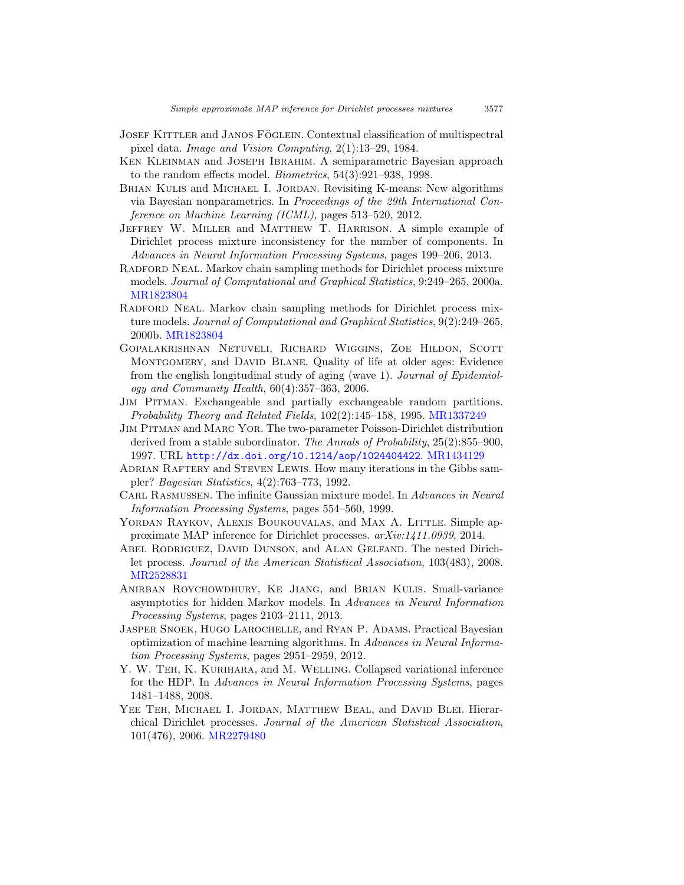- <span id="page-29-5"></span>JOSEF KITTLER and JANOS FÖGLEIN. Contextual classification of multispectral pixel data. Image and Vision Computing, 2(1):13–29, 1984.
- <span id="page-29-10"></span>Ken Kleinman and Joseph Ibrahim. A semiparametric Bayesian approach to the random effects model. Biometrics, 54(3):921–938, 1998.
- <span id="page-29-3"></span>Brian Kulis and Michael I. Jordan. Revisiting K-means: New algorithms via Bayesian nonparametrics. In Proceedings of the 29th International Conference on Machine Learning (ICML), pages 513–520, 2012.
- <span id="page-29-8"></span>JEFFREY W. MILLER and MATTHEW T. HARRISON. A simple example of Dirichlet process mixture inconsistency for the number of components. In Advances in Neural Information Processing Systems, pages 199–206, 2013.
- <span id="page-29-1"></span>Radford Neal. Markov chain sampling methods for Dirichlet process mixture models. Journal of Computational and Graphical Statistics, 9:249–265, 2000a. [MR1823804](http://www.ams.org/mathscinet-getitem?mr=1823804)
- <span id="page-29-6"></span>Radford Neal. Markov chain sampling methods for Dirichlet process mixture models. Journal of Computational and Graphical Statistics, 9(2):249–265, 2000b. [MR1823804](http://www.ams.org/mathscinet-getitem?mr=1823804)
- <span id="page-29-11"></span>Gopalakrishnan Netuveli, Richard Wiggins, Zoe Hildon, Scott MONTGOMERY, and DAVID BLANE. Quality of life at older ages: Evidence from the english longitudinal study of aging (wave 1). Journal of Epidemiology and Community Health, 60(4):357–363, 2006.
- <span id="page-29-7"></span>JIM PITMAN. Exchangeable and partially exchangeable random partitions. Probability Theory and Related Fields, 102(2):145–158, 1995. [MR1337249](http://www.ams.org/mathscinet-getitem?mr=1337249)
- <span id="page-29-12"></span>Jim Pitman and Marc Yor. The two-parameter Poisson-Dirichlet distribution derived from a stable subordinator. The Annals of Probability, 25(2):855–900, 1997. URL <http://dx.doi.org/10.1214/aop/1024404422>. [MR1434129](http://www.ams.org/mathscinet-getitem?mr=1434129)
- <span id="page-29-9"></span>Adrian Raftery and Steven Lewis. How many iterations in the Gibbs sampler? Bayesian Statistics, 4(2):763–773, 1992.
- <span id="page-29-15"></span>Carl Rasmussen. The infinite Gaussian mixture model. In Advances in Neural Information Processing Systems, pages 554–560, 1999.
- <span id="page-29-16"></span>YORDAN RAYKOV, ALEXIS BOUKOUVALAS, and MAX A. LITTLE. Simple approximate MAP inference for Dirichlet processes. arXiv:1411.0939, 2014.
- <span id="page-29-13"></span>Abel Rodriguez, David Dunson, and Alan Gelfand. The nested Dirichlet process. Journal of the American Statistical Association, 103(483), 2008. [MR2528831](http://www.ams.org/mathscinet-getitem?mr=2528831)
- <span id="page-29-4"></span>ANIRBAN ROYCHOWDHURY, KE JIANG, and BRIAN KULIS. Small-variance asymptotics for hidden Markov models. In Advances in Neural Information Processing Systems, pages 2103–2111, 2013.
- <span id="page-29-14"></span>Jasper Snoek, Hugo Larochelle, and Ryan P. Adams. Practical Bayesian optimization of machine learning algorithms. In Advances in Neural Information Processing Systems, pages 2951–2959, 2012.
- <span id="page-29-2"></span>Y. W. Teh, K. Kurihara, and M. Welling. Collapsed variational inference for the HDP. In Advances in Neural Information Processing Systems, pages 1481–1488, 2008.
- <span id="page-29-0"></span>Yee Teh, Michael I. Jordan, Matthew Beal, and David Blei. Hierarchical Dirichlet processes. Journal of the American Statistical Association, 101(476), 2006. [MR2279480](http://www.ams.org/mathscinet-getitem?mr=2279480)